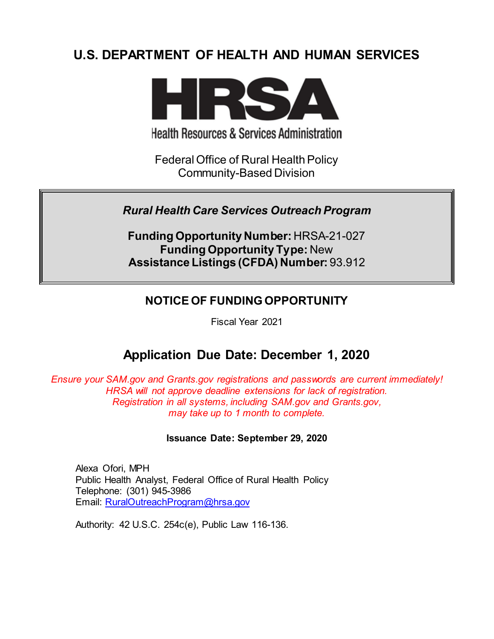# **U.S. DEPARTMENT OF HEALTH AND HUMAN SERVICES**



**Health Resources & Services Administration** 

Federal Office of Rural Health Policy Community-Based Division

# *Rural Health Care Services Outreach Program*

**Funding Opportunity Number:** HRSA-21-027 **Funding Opportunity Type:** New **Assistance Listings (CFDA) Number:** 93.912

# **NOTICE OF FUNDING OPPORTUNITY**

Fiscal Year 2021

# **Application Due Date: December 1, 2020**

*Ensure your SAM.gov and Grants.gov registrations and passwords are current immediately! HRSA will not approve deadline extensions for lack of registration. Registration in all systems, including SAM.gov and Grants.gov, may take up to 1 month to complete.*

## **Issuance Date: September 29, 2020**

Alexa Ofori, MPH Public Health Analyst, Federal Office of Rural Health Policy Telephone: (301) 945-3986 Email: [RuralOutreachProgram@hrsa.gov](mailto:RuralOutreachProgram@hrsa.gov)

Authority: 42 U.S.C. 254c(e), Public Law 116-136.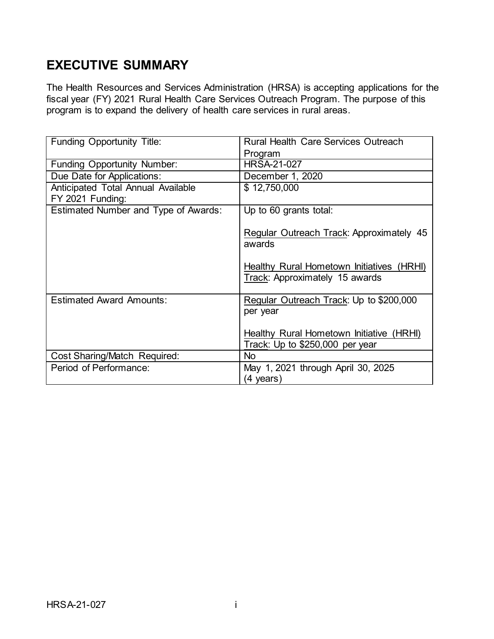# **EXECUTIVE SUMMARY**

The Health Resources and Services Administration (HRSA) is accepting applications for the fiscal year (FY) 2021 Rural Health Care Services Outreach Program. The purpose of this program is to expand the delivery of health care services in rural areas.

| Funding Opportunity Title:           | Rural Health Care Services Outreach                                         |
|--------------------------------------|-----------------------------------------------------------------------------|
|                                      | Program                                                                     |
| <b>Funding Opportunity Number:</b>   | <b>HRSA-21-027</b>                                                          |
| Due Date for Applications:           | December 1, 2020                                                            |
| Anticipated Total Annual Available   | \$12,750,000                                                                |
| FY 2021 Funding:                     |                                                                             |
| Estimated Number and Type of Awards: | Up to 60 grants total:                                                      |
|                                      | Regular Outreach Track: Approximately 45<br>awards                          |
|                                      | Healthy Rural Hometown Initiatives (HRHI)<br>Track: Approximately 15 awards |
| <b>Estimated Award Amounts:</b>      | Regular Outreach Track: Up to \$200,000<br>per year                         |
|                                      | Healthy Rural Hometown Initiative (HRHI)<br>Track: Up to \$250,000 per year |
| Cost Sharing/Match Required:         | <b>No</b>                                                                   |
| Period of Performance:               | May 1, 2021 through April 30, 2025<br>(4 years)                             |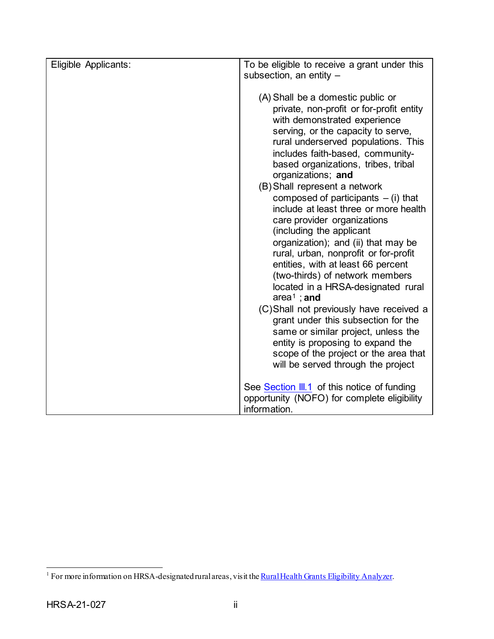| Eligible Applicants: | To be eligible to receive a grant under this<br>subsection, an entity -                                                                                                                                                                                                                                                                                                                                                                                                                                                                                                                                                                                                                                                                                                                                                                                                                                                                          |  |
|----------------------|--------------------------------------------------------------------------------------------------------------------------------------------------------------------------------------------------------------------------------------------------------------------------------------------------------------------------------------------------------------------------------------------------------------------------------------------------------------------------------------------------------------------------------------------------------------------------------------------------------------------------------------------------------------------------------------------------------------------------------------------------------------------------------------------------------------------------------------------------------------------------------------------------------------------------------------------------|--|
|                      | (A) Shall be a domestic public or<br>private, non-profit or for-profit entity<br>with demonstrated experience<br>serving, or the capacity to serve,<br>rural underserved populations. This<br>includes faith-based, community-<br>based organizations, tribes, tribal<br>organizations; and<br>(B) Shall represent a network<br>composed of participants $-$ (i) that<br>include at least three or more health<br>care provider organizations<br>(including the applicant<br>organization); and (ii) that may be<br>rural, urban, nonprofit or for-profit<br>entities, with at least 66 percent<br>(two-thirds) of network members<br>located in a HRSA-designated rural<br>area <sup>1</sup> ; and<br>(C)Shall not previously have received a<br>grant under this subsection for the<br>same or similar project, unless the<br>entity is proposing to expand the<br>scope of the project or the area that<br>will be served through the project |  |
|                      | See Section III.1 of this notice of funding<br>opportunity (NOFO) for complete eligibility<br>information.                                                                                                                                                                                                                                                                                                                                                                                                                                                                                                                                                                                                                                                                                                                                                                                                                                       |  |

<span id="page-2-0"></span><sup>&</sup>lt;sup>1</sup> For more information on HRSA-designated rural areas, visit the <u>Rural Health Grants Eligibility Analyzer</u>.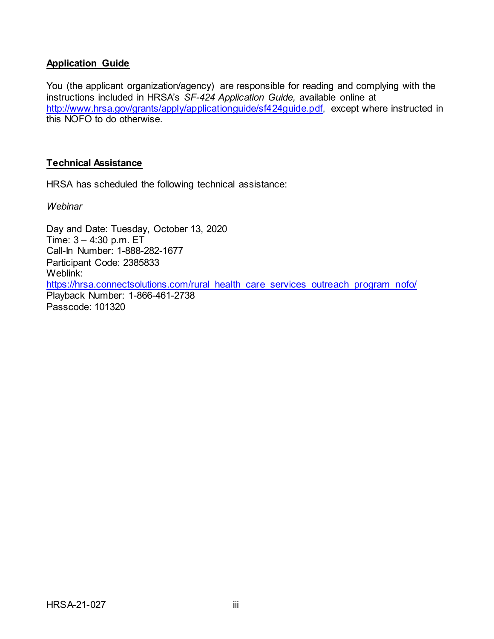# **Application Guide**

You (the applicant organization/agency) are responsible for reading and complying with the instructions included in HRSA's *SF-424 Application Guide,* available online at [http://www.hrsa.gov/grants/apply/applicationguide/sf424guide.pdf,](http://www.hrsa.gov/grants/apply/applicationguide/sf424guide.pdf) except where instructed in this NOFO to do otherwise.

## **Technical Assistance**

HRSA has scheduled the following technical assistance:

*Webinar*

Day and Date: Tuesday, October 13, 2020 Time: 3 – 4:30 p.m. ET Call-In Number: 1-888-282-1677 Participant Code: 2385833 Weblink: [https://hrsa.connectsolutions.com/rural\\_health\\_care\\_services\\_outreach\\_program\\_nofo/](https://hrsa.connectsolutions.com/rural_health_care_services_outreach_program_nofo/) Playback Number: 1-866-461-2738 Passcode: 101320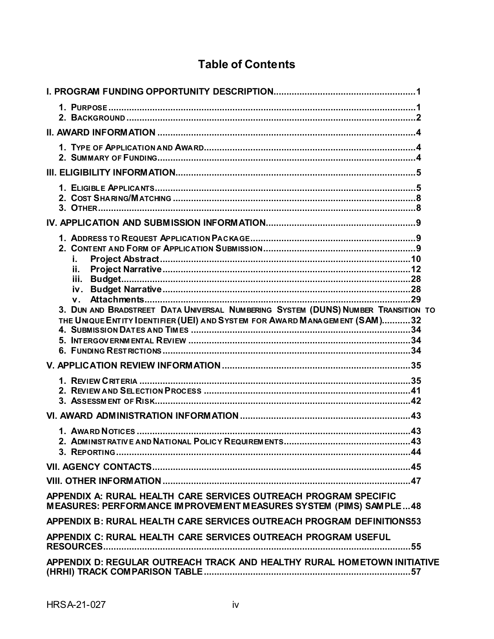# **Table of Contents**

| i.<br>ii.<br>$V_{\perp}$<br>3. DUN AND BRADSTREET DATA UNIVERSAL NUMBERING SYSTEM (DUNS) NUMBER TRANSITION TO<br>THE UNIQUE ENTITY IDENTIFIER (UEI) AND SYSTEM FOR AWARD MANAGEMENT (SAM)32 |
|---------------------------------------------------------------------------------------------------------------------------------------------------------------------------------------------|
|                                                                                                                                                                                             |
|                                                                                                                                                                                             |
|                                                                                                                                                                                             |
|                                                                                                                                                                                             |
|                                                                                                                                                                                             |
|                                                                                                                                                                                             |
| APPENDIX A: RURAL HEALTH CARE SERVICES OUTREACH PROGRAM SPECIFIC<br>MEASURES: PERFORMANCE IMPROVEMENT MEASURES SYSTEM (PIMS) SAMPLE48                                                       |
| APPENDIX B: RURAL HEALTH CARE SERVICES OUTREACH PROGRAM DEFINITIONS53                                                                                                                       |
| APPENDIX C: RURAL HEALTH CARE SERVICES OUTREACH PROGRAM USEFUL                                                                                                                              |
| APPENDIX D: REGULAR OUTREACH TRACK AND HEALTHY RURAL HOMETOWN INITIATIVE                                                                                                                    |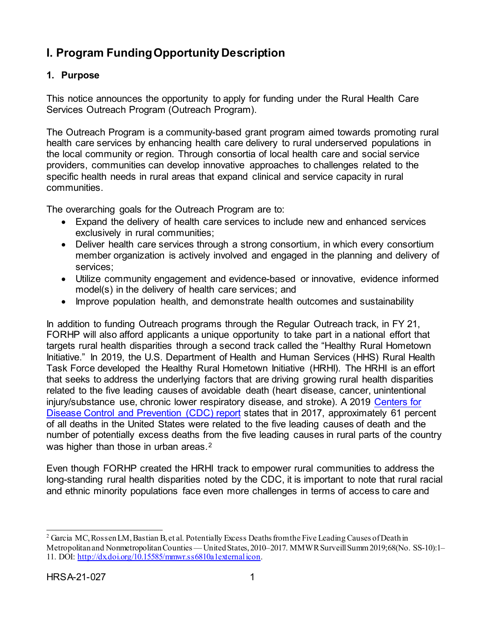# <span id="page-5-0"></span>**I. Program Funding Opportunity Description**

# <span id="page-5-1"></span>**1. Purpose**

This notice announces the opportunity to apply for funding under the Rural Health Care Services Outreach Program (Outreach Program).

The Outreach Program is a community-based grant program aimed towards promoting rural health care services by enhancing health care delivery to rural underserved populations in the local community or region. Through consortia of local health care and social service providers, communities can develop innovative approaches to challenges related to the specific health needs in rural areas that expand clinical and service capacity in rural communities.

The overarching goals for the Outreach Program are to:

- Expand the delivery of health care services to include new and enhanced services exclusively in rural communities;
- Deliver health care services through a strong consortium, in which every consortium member organization is actively involved and engaged in the planning and delivery of services;
- Utilize community engagement and evidence-based or innovative, evidence informed model(s) in the delivery of health care services; and
- Improve population health, and demonstrate health outcomes and sustainability

In addition to funding Outreach programs through the Regular Outreach track, in FY 21, FORHP will also afford applicants a unique opportunity to take part in a national effort that targets rural health disparities through a second track called the "Healthy Rural Hometown Initiative." In 2019, the U.S. Department of Health and Human Services (HHS) Rural Health Task Force developed the Healthy Rural Hometown Initiative (HRHI). The HRHI is an effort that seeks to address the underlying factors that are driving growing rural health disparities related to the five leading causes of avoidable death (heart disease, cancer, unintentional injury/substance use, chronic lower respiratory disease, and stroke). A 2019 [Centers for](https://www.cdc.gov/mmwr/volumes/68/ss/ss6810a1.htm?s_cid=ss6810a1_w)  [Disease Control and Prevention \(CDC\)](https://www.cdc.gov/mmwr/volumes/68/ss/ss6810a1.htm?s_cid=ss6810a1_w) report states that in 2017, approximately 61 percent of all deaths in the United States were related to the five leading causes of death and the number of potentially excess deaths from the five leading causes in rural parts of the country was higher than those in urban areas.<sup>[2](#page-5-2)</sup>

Even though FORHP created the HRHI track to empower rural communities to address the long-standing rural health disparities noted by the CDC, it is important to note that rural racial and ethnic minority populations face even more challenges in terms of access to care and

<span id="page-5-2"></span><sup>&</sup>lt;sup>2</sup> Garcia MC, Rossen LM, Bastian B, et al. Potentially Excess Deaths from the Five Leading Causes of Death in Metropolitan and Nonmetropolitan Counties — United States, 2010-2017. MMWR Surveill Summ 2019;68(No. SS-10):1-11. DOI[: http://dx.doi.org/10.15585/mmwr.ss6810a1external icon.](http://dx.doi.org/10.15585/mmwr.ss6810a1)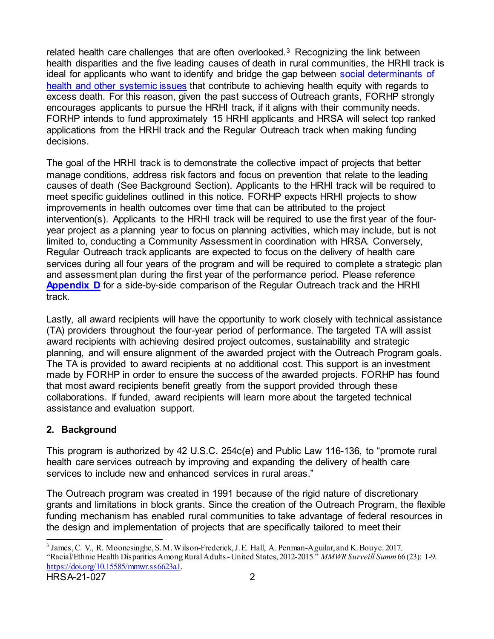related health care challenges that are often overlooked.<sup>[3](#page-6-1)</sup> Recognizing the link between health disparities and the five leading causes of death in rural communities, the HRHI track is ideal for applicants who want to identify and bridge the gap between [social determinants of](#page-57-0)  health [and other systemic issues](#page-57-0) that contribute to achieving health equity with regards to excess death. For this reason, given the past success of Outreach grants, FORHP strongly encourages applicants to pursue the HRHI track, if it aligns with their community needs. FORHP intends to fund approximately 15 HRHI applicants and HRSA will select top ranked applications from the HRHI track and the Regular Outreach track when making funding decisions.

The goal of the HRHI track is to demonstrate the collective impact of projects that better manage conditions, address risk factors and focus on prevention that relate to the leading causes of death (See Background Section). Applicants to the HRHI track will be required to meet specific guidelines outlined in this notice. FORHP expects HRHI projects to show improvements in health outcomes over time that can be attributed to the project intervention(s). Applicants to the HRHI track will be required to use the first year of the fouryear project as a planning year to focus on planning activities, which may include, but is not limited to, conducting a Community Assessment in coordination with HRSA. Conversely, Regular Outreach track applicants are expected to focus on the delivery of health care services during all four years of the program and will be required to complete a strategic plan and assessment plan during the first year of the performance period. Please reference **[Appendix D](#page-61-0)** for a side-by-side comparison of the Regular Outreach track and the HRHI track.

Lastly, all award recipients will have the opportunity to work closely with technical assistance (TA) providers throughout the four-year period of performance. The targeted TA will assist award recipients with achieving desired project outcomes, sustainability and strategic planning, and will ensure alignment of the awarded project with the Outreach Program goals. The TA is provided to award recipients at no additional cost. This support is an investment made by FORHP in order to ensure the success of the awarded projects. FORHP has found that most award recipients benefit greatly from the support provided through these collaborations. If funded, award recipients will learn more about the targeted technical assistance and evaluation support.

# <span id="page-6-0"></span>**2. Background**

This program is authorized by 42 U.S.C. 254c(e) and Public Law 116-136, to "promote rural health care services outreach by improving and expanding the delivery of health care services to include new and enhanced services in rural areas."

The Outreach program was created in 1991 because of the rigid nature of discretionary grants and limitations in block grants. Since the creation of the Outreach Program, the flexible funding mechanism has enabled rural communities to take advantage of federal resources in the design and implementation of projects that are specifically tailored to meet their

<span id="page-6-1"></span> <sup>3</sup> James, C. V., R. Moonesinghe, S. M. Wilson-Frederick, J. E. Hall, A. Penman-Aguilar, and K. Bouye. 2017. "Racial/Ethnic Health Disparities Among Rural Adults -United States, 2012-2015." *MMWR Surveill Summ*66 (23): 1-9. [https://doi.org/10.15585/mmwr.ss6623a1.](https://doi.org/10.15585/mmwr.ss6623a1)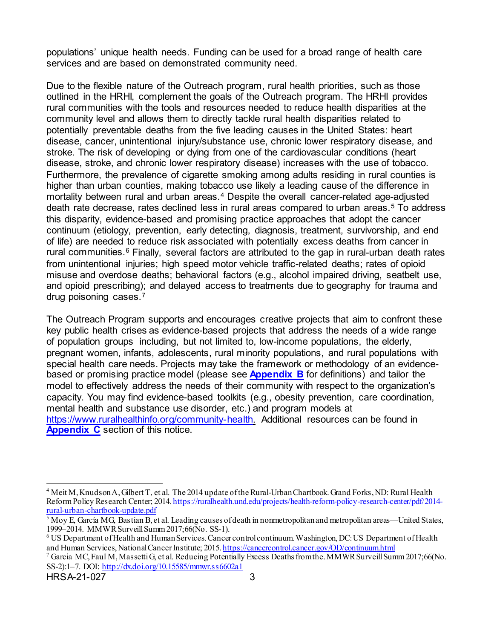populations' unique health needs. Funding can be used for a broad range of health care services and are based on demonstrated community need.

Due to the flexible nature of the Outreach program, rural health priorities, such as those outlined in the HRHI, complement the goals of the Outreach program. The HRHI provides rural communities with the tools and resources needed to reduce health disparities at the community level and allows them to directly tackle rural health disparities related to potentially preventable deaths from the five leading causes in the United States: heart disease, cancer, unintentional injury/substance use, chronic lower respiratory disease, and stroke. The risk of developing or dying from one of the cardiovascular conditions (heart disease, stroke, and chronic lower respiratory disease) increases with the use of tobacco. Furthermore, the prevalence of cigarette smoking among adults residing in rural counties is higher than urban counties, making tobacco use likely a leading cause of the difference in mortality between rural and urban areas.[4](#page-7-0) Despite the overall cancer-related age-adjusted death rate decrease, rates declined less in rural areas compared to urban areas.[5](#page-7-1) To address this disparity, evidence-based and promising practice approaches that adopt the cancer continuum (etiology, prevention, early detecting, diagnosis, treatment, survivorship, and end of life) are needed to reduce risk associated with potentially excess deaths from cancer in rural communities. $6$  Finally, several factors are attributed to the gap in rural-urban death rates from unintentional injuries; high speed motor vehicle traffic-related deaths; rates of opioid misuse and overdose deaths; behavioral factors (e.g., alcohol impaired driving, seatbelt use, and opioid prescribing); and delayed access to treatments due to geography for trauma and drug poisoning cases.[7](#page-7-3)

The Outreach Program supports and encourages creative projects that aim to confront these key public health crises as evidence-based projects that address the needs of a wide range of population groups including, but not limited to, low-income populations, the elderly, pregnant women, infants, adolescents, rural minority populations, and rural populations with special health care needs. Projects may take the framework or methodology of an evidencebased or promising practice model (please see **[Appendix B](#page-57-0)** for definitions) and tailor the model to effectively address the needs of their community with respect to the organization's capacity. You may find evidence-based toolkits (e.g., obesity prevention, care coordination, mental health and substance use disorder, etc.) and program models at [https://www.ruralhealthinfo.org/community-health.](https://www.ruralhealthinfo.org/community-health) Additional resources can be found in **[Appendix C](#page-59-0)** section of this notice.

<span id="page-7-0"></span> <sup>4</sup> Meit M, Knudson A, Gilbert T, et al. The 2014 update of the Rural-Urban Chartbook. Grand Forks, ND: Rural Health Reform Policy Research Center; 2014[. https://ruralhealth.und.edu/projects/health-reform-policy-research-center/pdf/2014](https://ruralhealth.und.edu/projects/health-reform-policy-research-center/pdf/2014-rural-urban-chartbook-update.pdf) [rural-urban-chartbook-update.pdf](https://ruralhealth.und.edu/projects/health-reform-policy-research-center/pdf/2014-rural-urban-chartbook-update.pdf)

<span id="page-7-1"></span> $\frac{1}{5}$  Moy E, García MG, Bastian B, et al. Leading causes of death in nonmetropolitan and metropolitan areas—United States, 1999–2014. MMWR Surveill Summ 2017;66(No. SS-1).

<span id="page-7-2"></span> $6$  US Department of Health and Human Services. Cancer control continuum. Washington, DC: US Department of Health and Human Services, National Cancer Institute; 2015[. https://cancercontrol.cancer.gov/OD/continuum.html](https://cancercontrol.cancer.gov/OD/continuum.html) 7 Garcia MC, Faul M, Massetti G, et al. Reducing Potentially Excess Deaths from the. MMWR Surveill Summ 2017;66(No.

<span id="page-7-3"></span>SS-2):1–7. DOI:<http://dx.doi.org/10.15585/mmwr.ss6602a1>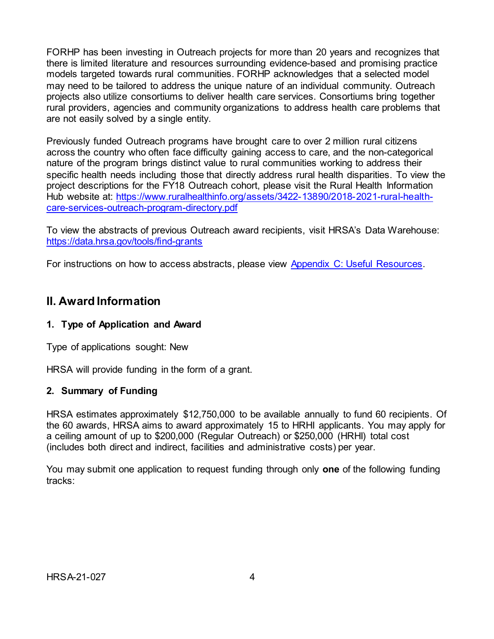FORHP has been investing in Outreach projects for more than 20 years and recognizes that there is limited literature and resources surrounding evidence-based and promising practice models targeted towards rural communities. FORHP acknowledges that a selected model may need to be tailored to address the unique nature of an individual community. Outreach projects also utilize consortiums to deliver health care services. Consortiums bring together rural providers, agencies and community organizations to address health care problems that are not easily solved by a single entity.

Previously funded Outreach programs have brought care to over 2 million rural citizens across the country who often face difficulty gaining access to care, and the non-categorical nature of the program brings distinct value to rural communities working to address their specific health needs including those that directly address rural health disparities. To view the project descriptions for the FY18 Outreach cohort, please visit the Rural Health Information Hub website at: [https://www.ruralhealthinfo.org/assets/3422-13890/2018-2021-rural-health](https://www.ruralhealthinfo.org/assets/3422-13890/2018-2021-rural-health-care-services-outreach-program-directory.pdf)[care-services-outreach-program-directory.pdf](https://www.ruralhealthinfo.org/assets/3422-13890/2018-2021-rural-health-care-services-outreach-program-directory.pdf)

To view the abstracts of previous Outreach award recipients, visit HRSA's Data Warehouse: <https://data.hrsa.gov/tools/find-grants>

<span id="page-8-0"></span>For instructions on how to access abstracts, please view [Appendix C: Useful Resources.](#page-59-0)

# **II. Award Information**

# <span id="page-8-1"></span>**1. Type of Application and Award**

Type of applications sought: New

HRSA will provide funding in the form of a grant.

## <span id="page-8-2"></span>**2. Summary of Funding**

HRSA estimates approximately \$12,750,000 to be available annually to fund 60 recipients. Of the 60 awards, HRSA aims to award approximately 15 to HRHI applicants. You may apply for a ceiling amount of up to \$200,000 (Regular Outreach) or \$250,000 (HRHI) total cost (includes both direct and indirect, facilities and administrative costs) per year.

You may submit one application to request funding through only **one** of the following funding tracks: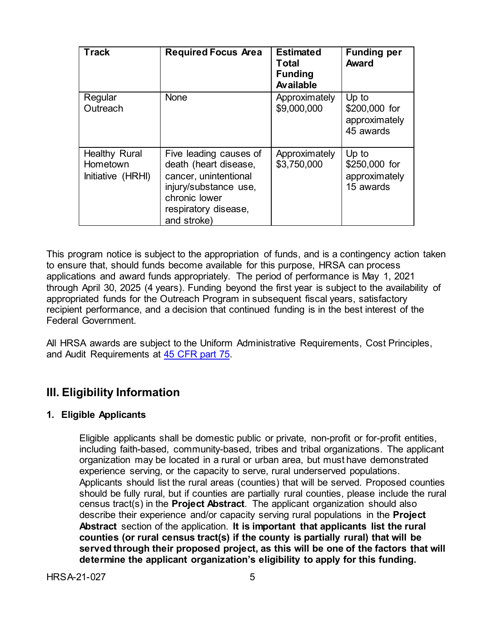| <b>Track</b>                                          | <b>Required Focus Area</b>                                                                                                                                | <b>Estimated</b><br><b>Total</b><br><b>Funding</b><br>Available | <b>Funding per</b><br><b>Award</b>                   |
|-------------------------------------------------------|-----------------------------------------------------------------------------------------------------------------------------------------------------------|-----------------------------------------------------------------|------------------------------------------------------|
| Regular<br>Outreach                                   | <b>None</b>                                                                                                                                               | Approximately<br>\$9,000,000                                    | Up to<br>\$200,000 for<br>approximately<br>45 awards |
| <b>Healthy Rural</b><br>Hometown<br>Initiative (HRHI) | Five leading causes of<br>death (heart disease,<br>cancer, unintentional<br>injury/substance use,<br>chronic lower<br>respiratory disease,<br>and stroke) | Approximately<br>\$3,750,000                                    | Up to<br>\$250,000 for<br>approximately<br>15 awards |

This program notice is subject to the appropriation of funds, and is a contingency action taken to ensure that, should funds become available for this purpose, HRSA can process applications and award funds appropriately. The period of performance is May 1, 2021 through April 30, 2025 (4 years). Funding beyond the first year is subject to the availability of appropriated funds for the Outreach Program in subsequent fiscal years, satisfactory recipient performance, and a decision that continued funding is in the best interest of the Federal Government.

All HRSA awards are subject to the Uniform Administrative Requirements, Cost Principles, and Audit Requirements at [45 CFR part 75.](http://www.ecfr.gov/cgi-bin/retrieveECFR?gp=1&SID=4d52364ec83fab994c665943dadf9cf7&ty=HTML&h=L&r=PART&n=pt45.1.75)

# <span id="page-9-1"></span>**III. Eligibility Information**

## <span id="page-9-0"></span>**1. Eligible Applicants**

Eligible applicants shall be domestic public or private, non-profit or for-profit entities, including faith-based, community-based, tribes and tribal organizations. The applicant organization may be located in a rural or urban area, but must have demonstrated experience serving, or the capacity to serve, rural underserved populations. Applicants should list the rural areas (counties) that will be served. Proposed counties should be fully rural, but if counties are partially rural counties, please include the rural census tract(s) in the **Project Abstract**. The applicant organization should also describe their experience and/or capacity serving rural populations in the **Project Abstract** section of the application. **It is important that applicants list the rural counties (or rural census tract(s) if the county is partially rural) that will be served through their proposed project, as this will be one of the factors that will determine the applicant organization's eligibility to apply for this funding.**

HRSA-21-027 5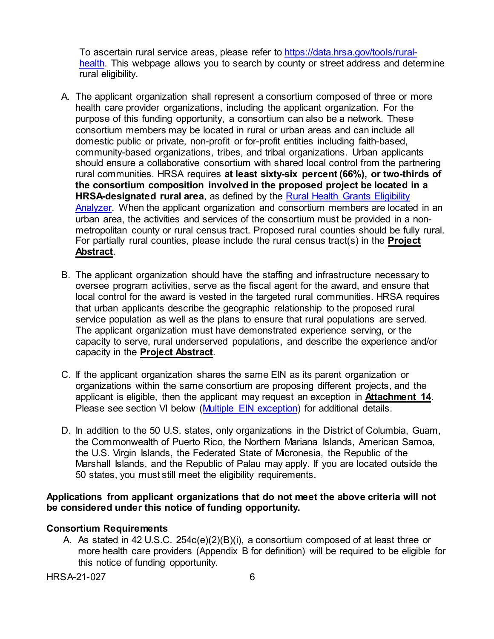To ascertain rural service areas, please refer to [https://data.hrsa.gov/tools/rural](https://data.hrsa.gov/tools/rural-health)[health.](https://data.hrsa.gov/tools/rural-health) This webpage allows you to search by county or street address and determine rural eligibility.

- A. The applicant organization shall represent a consortium composed of three or more health care provider organizations, including the applicant organization. For the purpose of this funding opportunity, a consortium can also be a network. These consortium members may be located in rural or urban areas and can include all domestic public or private, non-profit or for-profit entities including faith-based, community-based organizations, tribes, and tribal organizations. Urban applicants should ensure a collaborative consortium with shared local control from the partnering rural communities. HRSA requires **at least sixty-six percent (66%), or two-thirds of the consortium composition involved in the proposed project be located in a HRSA-designated rural area**, as defined by the [Rural Health Grants Eligibility](https://data.hrsa.gov/tools/rural-health)  [Analyzer.](https://data.hrsa.gov/tools/rural-health) When the applicant organization and consortium members are located in an urban area, the activities and services of the consortium must be provided in a nonmetropolitan county or rural census tract. Proposed rural counties should be fully rural. For partially rural counties, please include the rural census tract(s) in the **Project Abstract**.
- B. The applicant organization should have the staffing and infrastructure necessary to oversee program activities, serve as the fiscal agent for the award, and ensure that local control for the award is vested in the targeted rural communities. HRSA requires that urban applicants describe the geographic relationship to the proposed rural service population as well as the plans to ensure that rural populations are served. The applicant organization must have demonstrated experience serving, or the capacity to serve, rural underserved populations, and describe the experience and/or capacity in the **Project Abstract**.
- C. If the applicant organization shares the same EIN as its parent organization or organizations within the same consortium are proposing different projects, and the applicant is eligible, then the applicant may request an exception in **Attachment 14**. Please see section VI below [\(Multiple EIN exception\)](#page-12-2) for additional details.
- D. In addition to the 50 U.S. states, only organizations in the District of Columbia, Guam, the Commonwealth of Puerto Rico, the Northern Mariana Islands, American Samoa, the U.S. Virgin Islands, the Federated State of Micronesia, the Republic of the Marshall Islands, and the Republic of Palau may apply. If you are located outside the 50 states, you must still meet the eligibility requirements.

#### **Applications from applicant organizations that do not meet the above criteria will not be considered under this notice of funding opportunity.**

## **Consortium Requirements**

A. As stated in 42 U.S.C. 254c(e)(2)(B)(i), a consortium composed of at least three or more health care providers (Appendix B for definition) will be required to be eligible for this notice of funding opportunity.

HRSA-21-027 6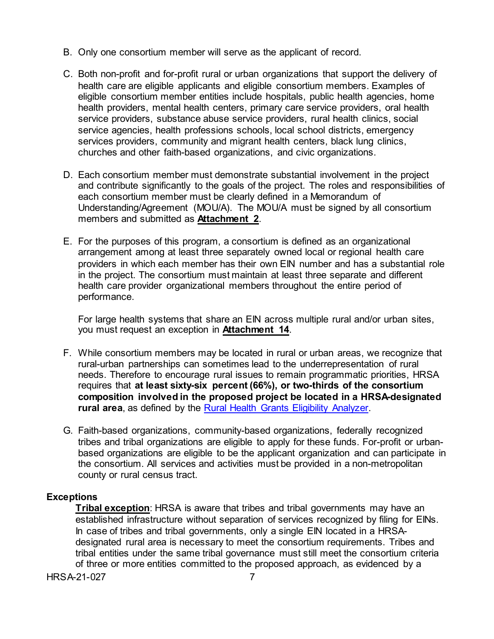- B. Only one consortium member will serve as the applicant of record.
- C. Both non-profit and for-profit rural or urban organizations that support the delivery of health care are eligible applicants and eligible consortium members. Examples of eligible consortium member entities include hospitals, public health agencies, home health providers, mental health centers, primary care service providers, oral health service providers, substance abuse service providers, rural health clinics, social service agencies, health professions schools, local school districts, emergency services providers, community and migrant health centers, black lung clinics, churches and other faith-based organizations, and civic organizations.
- D. Each consortium member must demonstrate substantial involvement in the project and contribute significantly to the goals of the project. The roles and responsibilities of each consortium member must be clearly defined in a Memorandum of Understanding/Agreement (MOU/A). The MOU/A must be signed by all consortium members and submitted as **Attachment 2**.
- E. For the purposes of this program, a consortium is defined as an organizational arrangement among at least three separately owned local or regional health care providers in which each member has their own EIN number and has a substantial role in the project. The consortium must maintain at least three separate and different health care provider organizational members throughout the entire period of performance.

For large health systems that share an EIN across multiple rural and/or urban sites, you must request an exception in **Attachment 14**.

- F. While consortium members may be located in rural or urban areas, we recognize that rural-urban partnerships can sometimes lead to the underrepresentation of rural needs. Therefore to encourage rural issues to remain programmatic priorities, HRSA requires that **at least sixty-six percent (66%), or two-thirds of the consortium composition involved in the proposed project be located in a HRSA-designated rural area**, as defined by the [Rural Health Grants Eligibility Analyzer.](https://data.hrsa.gov/tools/rural-health)
- G. Faith-based organizations, community-based organizations, federally recognized tribes and tribal organizations are eligible to apply for these funds. For-profit or urbanbased organizations are eligible to be the applicant organization and can participate in the consortium. All services and activities must be provided in a non-metropolitan county or rural census tract.

## **Exceptions**

**Tribal exception**: HRSA is aware that tribes and tribal governments may have an established infrastructure without separation of services recognized by filing for EINs. In case of tribes and tribal governments, only a single EIN located in a HRSAdesignated rural area is necessary to meet the consortium requirements. Tribes and tribal entities under the same tribal governance must still meet the consortium criteria of three or more entities committed to the proposed approach, as evidenced by a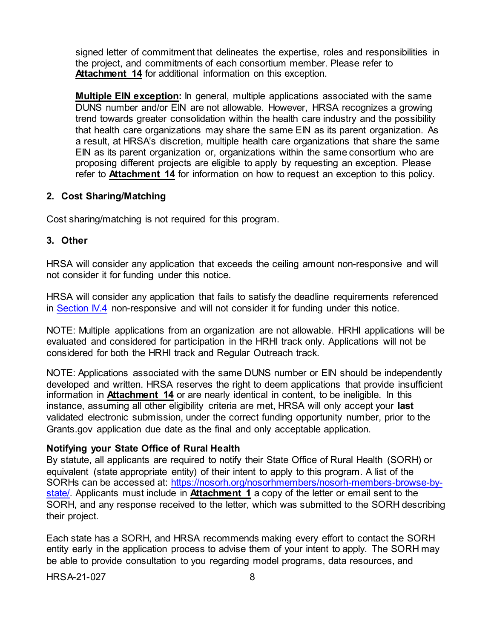signed letter of commitment that delineates the expertise, roles and responsibilities in the project, and commitments of each consortium member. Please refer to **Attachment 14** for additional information on this exception.

<span id="page-12-2"></span>**Multiple EIN exception:** In general, multiple applications associated with the same DUNS number and/or EIN are not allowable. However, HRSA recognizes a growing trend towards greater consolidation within the health care industry and the possibility that health care organizations may share the same EIN as its parent organization. As a result, at HRSA's discretion, multiple health care organizations that share the same EIN as its parent organization or, organizations within the same consortium who are proposing different projects are eligible to apply by requesting an exception. Please refer to **Attachment 14** for information on how to request an exception to this policy.

#### <span id="page-12-0"></span>**2. Cost Sharing/Matching**

Cost sharing/matching is not required for this program.

#### <span id="page-12-1"></span>**3. Other**

HRSA will consider any application that exceeds the ceiling amount non-responsive and will not consider it for funding under this notice.

HRSA will consider any application that fails to satisfy the deadline requirements referenced in [Section IV.4](#page-38-0) non-responsive and will not consider it for funding under this notice.

NOTE: Multiple applications from an organization are not allowable. HRHI applications will be evaluated and considered for participation in the HRHI track only. Applications will not be considered for both the HRHI track and Regular Outreach track.

NOTE: Applications associated with the same DUNS number or EIN should be independently developed and written. HRSA reserves the right to deem applications that provide insufficient information in **Attachment 14** or are nearly identical in content, to be ineligible. In this instance, assuming all other eligibility criteria are met, HRSA will only accept your **last** validated electronic submission, under the correct funding opportunity number, prior to the Grants.gov application due date as the final and only acceptable application.

#### **Notifying your State Office of Rural Health**

By statute, all applicants are required to notify their State Office of Rural Health (SORH) or equivalent (state appropriate entity) of their intent to apply to this program. A list of the SORHs can be accessed at: [https://nosorh.org/nosorhmembers/nosorh-members-browse-by](https://nosorh.org/nosorhmembers/nosorh-members-browse-by-state/)[state/.](https://nosorh.org/nosorhmembers/nosorh-members-browse-by-state/) Applicants must include in **Attachment 1** a copy of the letter or email sent to the SORH, and any response received to the letter, which was submitted to the SORH describing their project.

Each state has a SORH, and HRSA recommends making every effort to contact the SORH entity early in the application process to advise them of your intent to apply. The SORH may be able to provide consultation to you regarding model programs, data resources, and

HRSA-21-027 8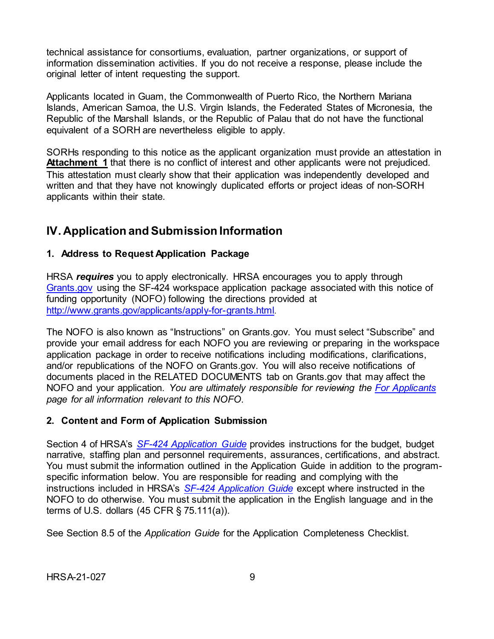technical assistance for consortiums, evaluation, partner organizations, or support of information dissemination activities. If you do not receive a response, please include the original letter of intent requesting the support.

Applicants located in Guam, the Commonwealth of Puerto Rico, the Northern Mariana Islands, American Samoa, the U.S. Virgin Islands, the Federated States of Micronesia, the Republic of the Marshall Islands, or the Republic of Palau that do not have the functional equivalent of a SORH are nevertheless eligible to apply.

SORHs responding to this notice as the applicant organization must provide an attestation in **Attachment 1** that there is no conflict of interest and other applicants were not prejudiced. This attestation must clearly show that their application was independently developed and written and that they have not knowingly duplicated efforts or project ideas of non-SORH applicants within their state.

# <span id="page-13-0"></span>**IV. Application and Submission Information**

## <span id="page-13-1"></span>**1. Address to Request Application Package**

HRSA *requires* you to apply electronically. HRSA encourages you to apply through [Grants.gov](https://www.grants.gov/) using the SF-424 workspace application package associated with this notice of funding opportunity (NOFO) following the directions provided at [http://www.grants.gov/applicants/apply-for-grants.html.](http://www.grants.gov/applicants/apply-for-grants.html)

The NOFO is also known as "Instructions" on Grants.gov. You must select "Subscribe" and provide your email address for each NOFO you are reviewing or preparing in the workspace application package in order to receive notifications including modifications, clarifications, and/or republications of the NOFO on Grants.gov. You will also receive notifications of documents placed in the RELATED DOCUMENTS tab on Grants.gov that may affect the NOFO and your application. *You are ultimately responsible for reviewing the [For Applicants](https://www.grants.gov/web/grants/applicants.html) page for all information relevant to this NOFO.*

## <span id="page-13-2"></span>**2. Content and Form of Application Submission**

Section 4 of HRSA's *SF-424 [Application Guide](http://www.hrsa.gov/grants/apply/applicationguide/sf424guide.pdf)* provides instructions for the budget, budget narrative, staffing plan and personnel requirements, assurances, certifications, and abstract. You must submit the information outlined in the Application Guide in addition to the programspecific information below. You are responsible for reading and complying with the instructions included in HRSA's *SF-424 [Application Guide](http://www.hrsa.gov/grants/apply/applicationguide/sf424guide.pdf)* except where instructed in the NOFO to do otherwise. You must submit the application in the English language and in the terms of U.S. dollars (45 CFR § 75.111(a)).

See Section 8.5 of the *Application Guide* for the Application Completeness Checklist.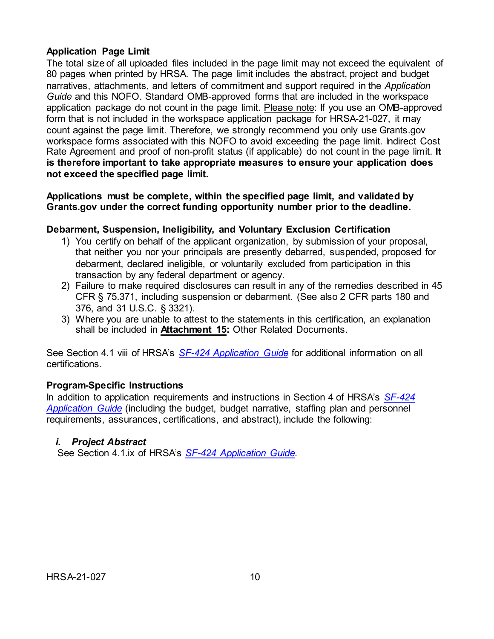## **Application Page Limit**

The total size of all uploaded files included in the page limit may not exceed the equivalent of 80 pages when printed by HRSA. The page limit includes the abstract, project and budget narratives, attachments, and letters of commitment and support required in the *Application Guide* and this NOFO. Standard OMB-approved forms that are included in the workspace application package do not count in the page limit. Please note: If you use an OMB-approved form that is not included in the workspace application package for HRSA-21-027, it may count against the page limit. Therefore, we strongly recommend you only use Grants.gov workspace forms associated with this NOFO to avoid exceeding the page limit. Indirect Cost Rate Agreement and proof of non-profit status (if applicable) do not count in the page limit. **It is therefore important to take appropriate measures to ensure your application does not exceed the specified page limit.**

**Applications must be complete, within the specified page limit, and validated by Grants.gov under the correct funding opportunity number prior to the deadline.**

## **Debarment, Suspension, Ineligibility, and Voluntary Exclusion Certification**

- 1) You certify on behalf of the applicant organization, by submission of your proposal, that neither you nor your principals are presently debarred, suspended, proposed for debarment, declared ineligible, or voluntarily excluded from participation in this transaction by any federal department or agency.
- 2) Failure to make required disclosures can result in any of the remedies described in 45 CFR § 75.371, including suspension or debarment. (See also 2 CFR parts 180 and 376, and 31 U.S.C. § 3321).
- 3) Where you are unable to attest to the statements in this certification, an explanation shall be included in **Attachment 15:** Other Related Documents.

See Section 4.1 viii of HRSA's *SF-424 [Application Guide](http://www.hrsa.gov/grants/apply/applicationguide/sf424guide.pdf)* for additional information on all certifications.

## **Program-Specific Instructions**

In addition to application requirements and instructions in Section 4 of HRSA's *[SF-424](http://www.hrsa.gov/grants/apply/applicationguide/sf424guide.pdf) [Application Guide](http://www.hrsa.gov/grants/apply/applicationguide/sf424guide.pdf)* (including the budget, budget narrative, staffing plan and personnel requirements, assurances, certifications, and abstract), include the following:

## <span id="page-14-0"></span>*i. Project Abstract*

See Section 4.1.ix of HRSA's *SF-424 [Application Guide.](http://www.hrsa.gov/grants/apply/applicationguide/sf424guide.pdf)*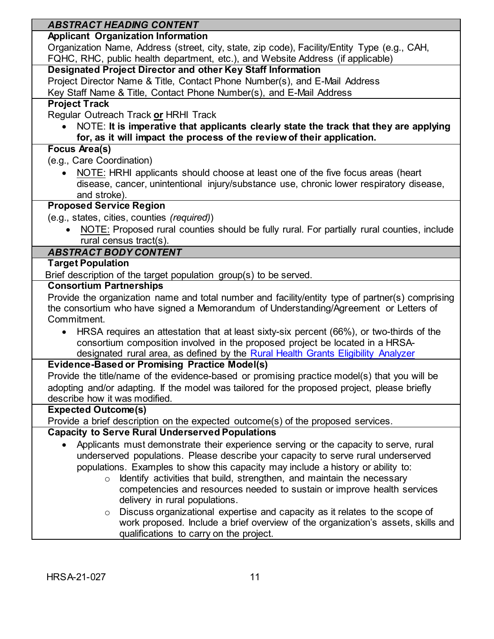<span id="page-15-0"></span>

| <b>ABSTRACT HEADING CONTENT</b>                                                                                                                                                        |  |  |
|----------------------------------------------------------------------------------------------------------------------------------------------------------------------------------------|--|--|
| <b>Applicant Organization Information</b>                                                                                                                                              |  |  |
| Organization Name, Address (street, city, state, zip code), Facility/Entity Type (e.g., CAH,<br>FQHC, RHC, public health department, etc.), and Website Address (if applicable)        |  |  |
| <b>Designated Project Director and other Key Staff Information</b>                                                                                                                     |  |  |
| Project Director Name & Title, Contact Phone Number(s), and E-Mail Address                                                                                                             |  |  |
| Key Staff Name & Title, Contact Phone Number(s), and E-Mail Address                                                                                                                    |  |  |
| <b>Project Track</b>                                                                                                                                                                   |  |  |
| Regular Outreach Track or HRHI Track                                                                                                                                                   |  |  |
| NOTE: It is imperative that applicants clearly state the track that they are applying                                                                                                  |  |  |
| for, as it will impact the process of the review of their application.                                                                                                                 |  |  |
| <b>Focus Area(s)</b>                                                                                                                                                                   |  |  |
| (e.g., Care Coordination)                                                                                                                                                              |  |  |
| NOTE: HRHI applicants should choose at least one of the five focus areas (heart                                                                                                        |  |  |
| disease, cancer, unintentional injury/substance use, chronic lower respiratory disease,                                                                                                |  |  |
| and stroke).                                                                                                                                                                           |  |  |
| <b>Proposed Service Region</b>                                                                                                                                                         |  |  |
| (e.g., states, cities, counties (required))                                                                                                                                            |  |  |
| NOTE: Proposed rural counties should be fully rural. For partially rural counties, include                                                                                             |  |  |
| rural census tract(s).                                                                                                                                                                 |  |  |
| <b>ABSTRACT BODY CONTENT</b>                                                                                                                                                           |  |  |
| <b>Target Population</b>                                                                                                                                                               |  |  |
| Brief description of the target population group(s) to be served.                                                                                                                      |  |  |
| <b>Consortium Partnerships</b>                                                                                                                                                         |  |  |
| Provide the organization name and total number and facility/entity type of partner(s) comprising                                                                                       |  |  |
| the consortium who have signed a Memorandum of Understanding/Agreement or Letters of<br>Commitment.                                                                                    |  |  |
|                                                                                                                                                                                        |  |  |
| HRSA requires an attestation that at least sixty-six percent (66%), or two-thirds of the<br>$\bullet$<br>consortium composition involved in the proposed project be located in a HRSA- |  |  |
| designated rural area, as defined by the Rural Health Grants Eligibility Analyzer                                                                                                      |  |  |
| <b>Evidence-Based or Promising Practice Model(s)</b>                                                                                                                                   |  |  |
| Provide the title/name of the evidence-based or promising practice model(s) that you will be                                                                                           |  |  |
| adopting and/or adapting. If the model was tailored for the proposed project, please briefly                                                                                           |  |  |
| describe how it was modified.                                                                                                                                                          |  |  |
| <b>Expected Outcome(s)</b>                                                                                                                                                             |  |  |
| Provide a brief description on the expected outcome(s) of the proposed services.                                                                                                       |  |  |
| <b>Capacity to Serve Rural Underserved Populations</b>                                                                                                                                 |  |  |
| Applicants must demonstrate their experience serving or the capacity to serve, rural                                                                                                   |  |  |
| underserved populations. Please describe your capacity to serve rural underserved                                                                                                      |  |  |
| populations. Examples to show this capacity may include a history or ability to:                                                                                                       |  |  |
| Identify activities that build, strengthen, and maintain the necessary<br>$\circ$                                                                                                      |  |  |
| competencies and resources needed to sustain or improve health services                                                                                                                |  |  |
| delivery in rural populations.                                                                                                                                                         |  |  |
| Discuss organizational expertise and capacity as it relates to the scope of<br>$\circ$                                                                                                 |  |  |
| work proposed. Include a brief overview of the organization's assets, skills and                                                                                                       |  |  |
| qualifications to carry on the project.                                                                                                                                                |  |  |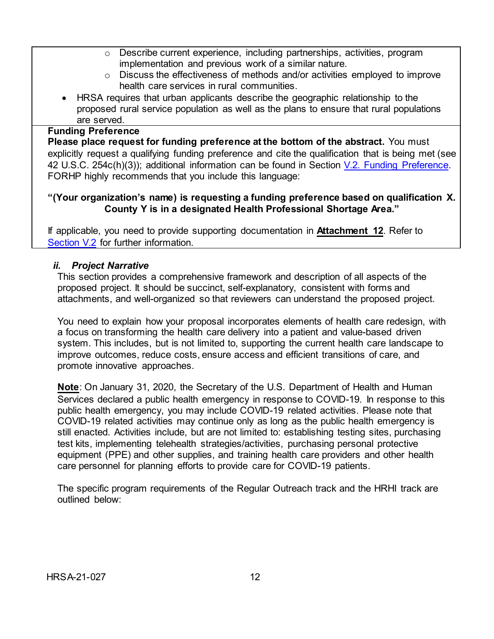- o Describe current experience, including partnerships, activities, program implementation and previous work of a similar nature.
- $\circ$  Discuss the effectiveness of methods and/or activities employed to improve health care services in rural communities.
- HRSA requires that urban applicants describe the geographic relationship to the proposed rural service population as well as the plans to ensure that rural populations are served.

#### **Funding Preference**

**Please place request for funding preference at the bottom of the abstract.** You must explicitly request a qualifying funding preference and cite the qualification that is being met (see 42 U.S.C. 254c(h)(3)); additional information can be found in Section [V.2. Funding Preference.](#page-45-1) FORHP highly recommends that you include this language:

## **"(Your organization's name) is requesting a funding preference based on qualification X. County Y is in a designated Health Professional Shortage Area."**

If applicable, you need to provide supporting documentation in **Attachment 12**. Refer to [Section V.2](#page-45-1) for further information.

## <span id="page-16-0"></span>*ii. Project Narrative*

This section provides a comprehensive framework and description of all aspects of the proposed project. It should be succinct, self-explanatory, consistent with forms and attachments, and well-organized so that reviewers can understand the proposed project.

You need to explain how your proposal incorporates elements of health care redesign, with a focus on transforming the health care delivery into a patient and value-based driven system. This includes, but is not limited to, supporting the current health care landscape to improve outcomes, reduce costs, ensure access and efficient transitions of care, and promote innovative approaches.

**Note**: On January 31, 2020, the Secretary of the U.S. Department of Health and Human Services declared a public health emergency in response to COVID-19. In response to this public health emergency, you may include COVID-19 related activities. Please note that COVID-19 related activities may continue only as long as the public health emergency is still enacted. Activities include, but are not limited to: establishing testing sites, purchasing test kits, implementing telehealth strategies/activities, purchasing personal protective equipment (PPE) and other supplies, and training health care providers and other health care personnel for planning efforts to provide care for COVID-19 patients.

The specific program requirements of the Regular Outreach track and the HRHI track are outlined below: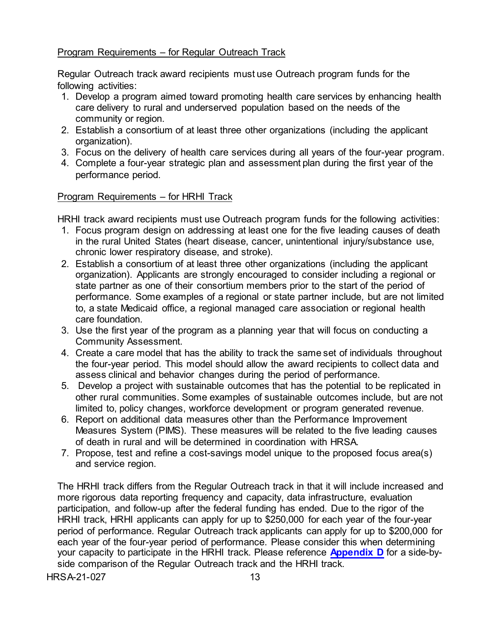## Program Requirements – for Regular Outreach Track

Regular Outreach track award recipients must use Outreach program funds for the following activities:

- 1. Develop a program aimed toward promoting health care services by enhancing health care delivery to rural and underserved population based on the needs of the community or region.
- 2. Establish a consortium of at least three other organizations (including the applicant organization).
- 3. Focus on the delivery of health care services during all years of the four-year program.
- 4. Complete a four-year strategic plan and assessment plan during the first year of the performance period.

## Program Requirements – for HRHI Track

HRHI track award recipients must use Outreach program funds for the following activities:

- 1. Focus program design on addressing at least one for the five leading causes of death in the rural United States (heart disease, cancer, unintentional injury/substance use, chronic lower respiratory disease, and stroke).
- 2. Establish a consortium of at least three other organizations (including the applicant organization). Applicants are strongly encouraged to consider including a regional or state partner as one of their consortium members prior to the start of the period of performance. Some examples of a regional or state partner include, but are not limited to, a state Medicaid office, a regional managed care association or regional health care foundation.
- 3. Use the first year of the program as a planning year that will focus on conducting a Community Assessment.
- 4. Create a care model that has the ability to track the same set of individuals throughout the four-year period. This model should allow the award recipients to collect data and assess clinical and behavior changes during the period of performance.
- 5. Develop a project with sustainable outcomes that has the potential to be replicated in other rural communities. Some examples of sustainable outcomes include, but are not limited to, policy changes, workforce development or program generated revenue.
- 6. Report on additional data measures other than the Performance Improvement Measures System (PIMS). These measures will be related to the five leading causes of death in rural and will be determined in coordination with HRSA.
- 7. Propose, test and refine a cost-savings model unique to the proposed focus area(s) and service region.

The HRHI track differs from the Regular Outreach track in that it will include increased and more rigorous data reporting frequency and capacity, data infrastructure, evaluation participation, and follow-up after the federal funding has ended. Due to the rigor of the HRHI track, HRHI applicants can apply for up to \$250,000 for each year of the four-year period of performance. Regular Outreach track applicants can apply for up to \$200,000 for each year of the four-year period of performance. Please consider this when determining your capacity to participate in the HRHI track. Please reference **[Appendix D](#page-61-0)** for a side-byside comparison of the Regular Outreach track and the HRHI track.

HRSA-21-027 13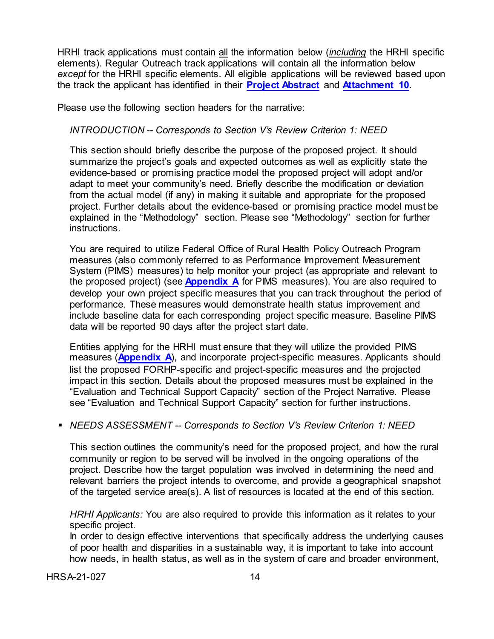HRHI track applications must contain all the information below (*including* the HRHI specific elements). Regular Outreach track applications will contain all the information below *except* for the HRHI specific elements. All eligible applications will be reviewed based upon the track the applicant has identified in their **[Project](#page-15-0) Abstract** and **[Attachment 10](#page-35-0)**.

Please use the following section headers for the narrative:

#### *INTRODUCTION -- Corresponds to Section V's Review Criterion 1: NEED*

This section should briefly describe the purpose of the proposed project. It should summarize the project's goals and expected outcomes as well as explicitly state the evidence-based or promising practice model the proposed project will adopt and/or adapt to meet your community's need. Briefly describe the modification or deviation from the actual model (if any) in making it suitable and appropriate for the proposed project. Further details about the evidence-based or promising practice model must be explained in the "Methodology" section. Please see "Methodology" section for further instructions.

You are required to utilize Federal Office of Rural Health Policy Outreach Program measures (also commonly referred to as Performance Improvement Measurement System (PIMS) measures) to help monitor your project (as appropriate and relevant to the proposed project) (see **[Appendix A](#page-52-0)** for PIMS measures). You are also required to develop your own project specific measures that you can track throughout the period of performance. These measures would demonstrate health status improvement and include baseline data for each corresponding project specific measure. Baseline PIMS data will be reported 90 days after the project start date.

Entities applying for the HRHI must ensure that they will utilize the provided PIMS measures (**[Appendix A](#page-52-0)**), and incorporate project-specific measures. Applicants should list the proposed FORHP-specific and project-specific measures and the projected impact in this section. Details about the proposed measures must be explained in the "Evaluation and Technical Support Capacity" section of the Project Narrative. Please see "Evaluation and Technical Support Capacity" section for further instructions.

#### *NEEDS ASSESSMENT -- Corresponds to Section V's Review Criterion 1: NEED*

This section outlines the community's need for the proposed project, and how the rural community or region to be served will be involved in the ongoing operations of the project. Describe how the target population was involved in determining the need and relevant barriers the project intends to overcome, and provide a geographical snapshot of the targeted service area(s). A list of resources is located at the end of this section.

*HRHI Applicants:* You are also required to provide this information as it relates to your specific project.

In order to design effective interventions that specifically address the underlying causes of poor health and disparities in a sustainable way, it is important to take into account how needs, in health status, as well as in the system of care and broader environment,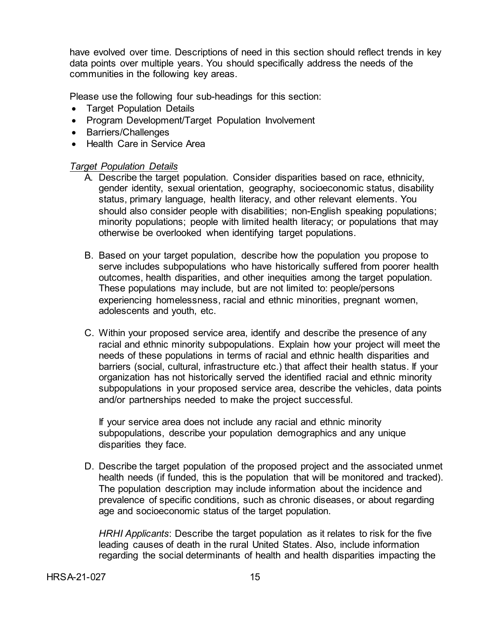have evolved over time. Descriptions of need in this section should reflect trends in key data points over multiple years. You should specifically address the needs of the communities in the following key areas.

Please use the following four sub-headings for this section:

- Target Population Details
- Program Development/Target Population Involvement
- Barriers/Challenges
- Health Care in Service Area

#### *Target Population Details*

- A. Describe the target population. Consider disparities based on race, ethnicity, gender identity, sexual orientation, geography, socioeconomic status, disability status, primary language, health literacy, and other relevant elements. You should also consider people with disabilities; non-English speaking populations; minority populations; people with limited health literacy; or populations that may otherwise be overlooked when identifying target populations.
- B. Based on your target population, describe how the population you propose to serve includes subpopulations who have historically suffered from poorer health outcomes, health disparities, and other inequities among the target population. These populations may include, but are not limited to: people/persons experiencing homelessness, racial and ethnic minorities, pregnant women, adolescents and youth, etc.
- C. Within your proposed service area, identify and describe the presence of any racial and ethnic minority subpopulations. Explain how your project will meet the needs of these populations in terms of racial and ethnic health disparities and barriers (social, cultural, infrastructure etc.) that affect their health status. If your organization has not historically served the identified racial and ethnic minority subpopulations in your proposed service area, describe the vehicles, data points and/or partnerships needed to make the project successful.

If your service area does not include any racial and ethnic minority subpopulations, describe your population demographics and any unique disparities they face.

D. Describe the target population of the proposed project and the associated unmet health needs (if funded, this is the population that will be monitored and tracked). The population description may include information about the incidence and prevalence of specific conditions, such as chronic diseases, or about regarding age and socioeconomic status of the target population.

*HRHI Applicants*: Describe the target population as it relates to risk for the five leading causes of death in the rural United States. Also, include information regarding the social determinants of health and health disparities impacting the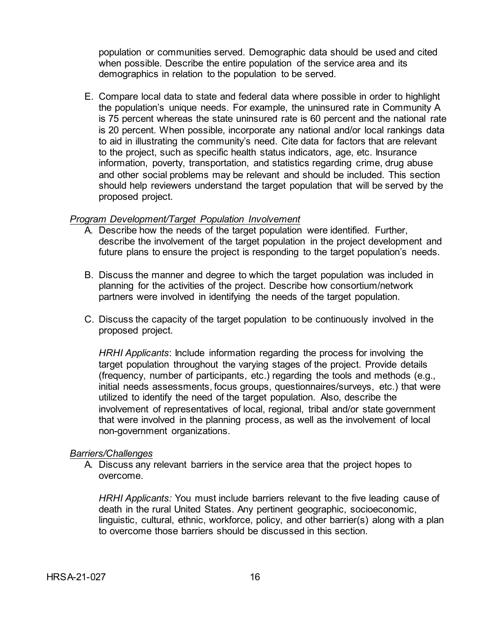population or communities served. Demographic data should be used and cited when possible. Describe the entire population of the service area and its demographics in relation to the population to be served.

E. Compare local data to state and federal data where possible in order to highlight the population's unique needs. For example, the uninsured rate in Community A is 75 percent whereas the state uninsured rate is 60 percent and the national rate is 20 percent. When possible, incorporate any national and/or local rankings data to aid in illustrating the community's need. Cite data for factors that are relevant to the project, such as specific health status indicators, age, etc. Insurance information, poverty, transportation, and statistics regarding crime, drug abuse and other social problems may be relevant and should be included. This section should help reviewers understand the target population that will be served by the proposed project.

#### *Program Development/Target Population Involvement*

- A. Describe how the needs of the target population were identified. Further, describe the involvement of the target population in the project development and future plans to ensure the project is responding to the target population's needs.
- B. Discuss the manner and degree to which the target population was included in planning for the activities of the project. Describe how consortium/network partners were involved in identifying the needs of the target population.
- C. Discuss the capacity of the target population to be continuously involved in the proposed project.

*HRHI Applicants*: Include information regarding the process for involving the target population throughout the varying stages of the project. Provide details (frequency, number of participants, etc.) regarding the tools and methods (e.g., initial needs assessments, focus groups, questionnaires/surveys, etc.) that were utilized to identify the need of the target population. Also, describe the involvement of representatives of local, regional, tribal and/or state government that were involved in the planning process, as well as the involvement of local non-government organizations.

#### *Barriers/Challenges*

A. Discuss any relevant barriers in the service area that the project hopes to overcome.

*HRHI Applicants:* You must include barriers relevant to the five leading cause of death in the rural United States. Any pertinent geographic, socioeconomic, linguistic, cultural, ethnic, workforce, policy, and other barrier(s) along with a plan to overcome those barriers should be discussed in this section.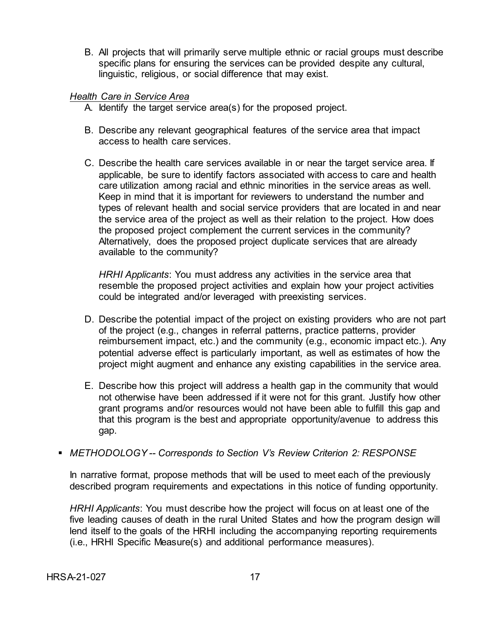B. All projects that will primarily serve multiple ethnic or racial groups must describe specific plans for ensuring the services can be provided despite any cultural, linguistic, religious, or social difference that may exist.

#### *Health Care in Service Area*

- A. Identify the target service area(s) for the proposed project.
- B. Describe any relevant geographical features of the service area that impact access to health care services.
- C. Describe the health care services available in or near the target service area. If applicable, be sure to identify factors associated with access to care and health care utilization among racial and ethnic minorities in the service areas as well. Keep in mind that it is important for reviewers to understand the number and types of relevant health and social service providers that are located in and near the service area of the project as well as their relation to the project. How does the proposed project complement the current services in the community? Alternatively, does the proposed project duplicate services that are already available to the community?

*HRHI Applicants*: You must address any activities in the service area that resemble the proposed project activities and explain how your project activities could be integrated and/or leveraged with preexisting services.

- D. Describe the potential impact of the project on existing providers who are not part of the project (e.g., changes in referral patterns, practice patterns, provider reimbursement impact, etc.) and the community (e.g., economic impact etc.). Any potential adverse effect is particularly important, as well as estimates of how the project might augment and enhance any existing capabilities in the service area.
- E. Describe how this project will address a health gap in the community that would not otherwise have been addressed if it were not for this grant. Justify how other grant programs and/or resources would not have been able to fulfill this gap and that this program is the best and appropriate opportunity/avenue to address this gap.
- *METHODOLOGY -- Corresponds to Section V's Review Criterion 2: RESPONSE*

In narrative format, propose methods that will be used to meet each of the previously described program requirements and expectations in this notice of funding opportunity.

*HRHI Applicants*: You must describe how the project will focus on at least one of the five leading causes of death in the rural United States and how the program design will lend itself to the goals of the HRHI including the accompanying reporting requirements (i.e., HRHI Specific Measure(s) and additional performance measures).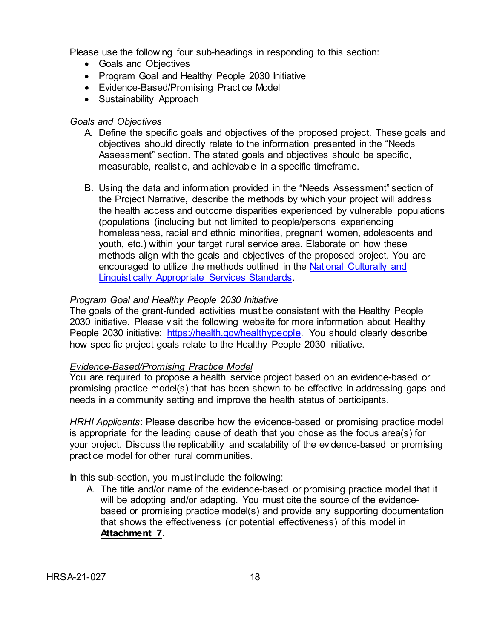Please use the following four sub-headings in responding to this section:

- Goals and Objectives
- Program Goal and Healthy People 2030 Initiative
- Evidence-Based/Promising Practice Model
- Sustainability Approach

## *Goals and Objectives*

- A. Define the specific goals and objectives of the proposed project. These goals and objectives should directly relate to the information presented in the "Needs Assessment" section. The stated goals and objectives should be specific, measurable, realistic, and achievable in a specific timeframe.
- B. Using the data and information provided in the "Needs Assessment" section of the Project Narrative, describe the methods by which your project will address the health access and outcome disparities experienced by vulnerable populations (populations (including but not limited to people/persons experiencing homelessness, racial and ethnic minorities, pregnant women, adolescents and youth, etc.) within your target rural service area. Elaborate on how these methods align with the goals and objectives of the proposed project. You are encouraged to utilize the methods outlined in the National Culturally and [Linguistically Appropriate Services Standards.](https://thinkculturalhealth.hhs.gov/clas/standards)

## *Program Goal and Healthy People 2030 Initiative*

The goals of the grant-funded activities must be consistent with the Healthy People 2030 initiative. Please visit the following website for more information about Healthy People 2030 initiative: [https://health.gov/healthypeople.](https://health.gov/healthypeople) You should clearly describe how specific project goals relate to the Healthy People 2030 initiative.

## *Evidence-Based/Promising Practice Model*

You are required to propose a health service project based on an evidence-based or promising practice model(s) that has been shown to be effective in addressing gaps and needs in a community setting and improve the health status of participants.

*HRHI Applicants*: Please describe how the evidence-based or promising practice model is appropriate for the leading cause of death that you chose as the focus area(s) for your project. Discuss the replicability and scalability of the evidence-based or promising practice model for other rural communities.

In this sub-section, you must include the following:

A. The title and/or name of the evidence-based or promising practice model that it will be adopting and/or adapting. You must cite the source of the evidencebased or promising practice model(s) and provide any supporting documentation that shows the effectiveness (or potential effectiveness) of this model in **Attachment 7**.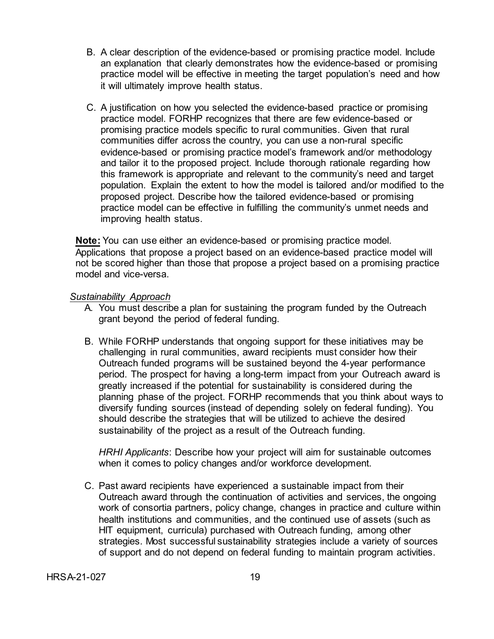- B. A clear description of the evidence-based or promising practice model. Include an explanation that clearly demonstrates how the evidence-based or promising practice model will be effective in meeting the target population's need and how it will ultimately improve health status.
- C. A justification on how you selected the evidence-based practice or promising practice model. FORHP recognizes that there are few evidence-based or promising practice models specific to rural communities. Given that rural communities differ across the country, you can use a non-rural specific evidence-based or promising practice model's framework and/or methodology and tailor it to the proposed project. Include thorough rationale regarding how this framework is appropriate and relevant to the community's need and target population. Explain the extent to how the model is tailored and/or modified to the proposed project. Describe how the tailored evidence-based or promising practice model can be effective in fulfilling the community's unmet needs and improving health status.

**Note:** You can use either an evidence-based or promising practice model. Applications that propose a project based on an evidence-based practice model will not be scored higher than those that propose a project based on a promising practice model and vice-versa.

#### *Sustainability Approach*

- A. You must describe a plan for sustaining the program funded by the Outreach grant beyond the period of federal funding.
- B. While FORHP understands that ongoing support for these initiatives may be challenging in rural communities, award recipients must consider how their Outreach funded programs will be sustained beyond the 4-year performance period. The prospect for having a long-term impact from your Outreach award is greatly increased if the potential for sustainability is considered during the planning phase of the project. FORHP recommends that you think about ways to diversify funding sources (instead of depending solely on federal funding). You should describe the strategies that will be utilized to achieve the desired sustainability of the project as a result of the Outreach funding.

*HRHI Applicants*: Describe how your project will aim for sustainable outcomes when it comes to policy changes and/or workforce development.

C. Past award recipients have experienced a sustainable impact from their Outreach award through the continuation of activities and services, the ongoing work of consortia partners, policy change, changes in practice and culture within health institutions and communities, and the continued use of assets (such as HIT equipment, curricula) purchased with Outreach funding, among other strategies. Most successful sustainability strategies include a variety of sources of support and do not depend on federal funding to maintain program activities.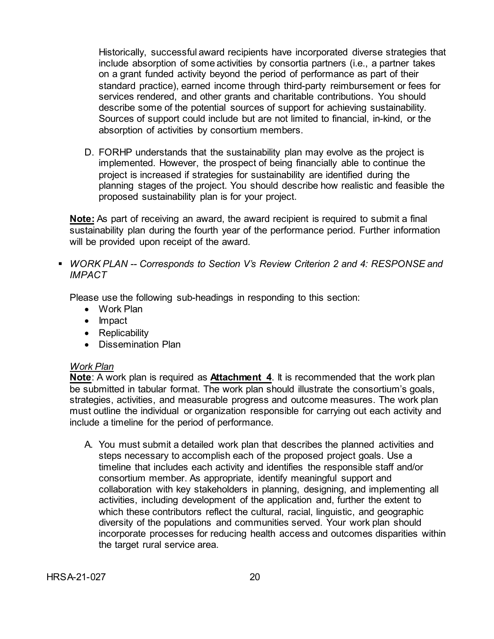Historically, successful award recipients have incorporated diverse strategies that include absorption of some activities by consortia partners (i.e., a partner takes on a grant funded activity beyond the period of performance as part of their standard practice), earned income through third-party reimbursement or fees for services rendered, and other grants and charitable contributions. You should describe some of the potential sources of support for achieving sustainability. Sources of support could include but are not limited to financial, in-kind, or the absorption of activities by consortium members.

D. FORHP understands that the sustainability plan may evolve as the project is implemented. However, the prospect of being financially able to continue the project is increased if strategies for sustainability are identified during the planning stages of the project. You should describe how realistic and feasible the proposed sustainability plan is for your project.

**Note:** As part of receiving an award, the award recipient is required to submit a final sustainability plan during the fourth year of the performance period. Further information will be provided upon receipt of the award.

 *WORK PLAN -- Corresponds to Section V's Review Criterion 2 and 4: RESPONSE and IMPACT*

Please use the following sub-headings in responding to this section:

- Work Plan
- Impact
- Replicability
- Dissemination Plan

#### *Work Plan*

**Note**: A work plan is required as **Attachment 4**. It is recommended that the work plan be submitted in tabular format. The work plan should illustrate the consortium's goals, strategies, activities, and measurable progress and outcome measures. The work plan must outline the individual or organization responsible for carrying out each activity and include a timeline for the period of performance.

A. You must submit a detailed work plan that describes the planned activities and steps necessary to accomplish each of the proposed project goals. Use a timeline that includes each activity and identifies the responsible staff and/or consortium member. As appropriate, identify meaningful support and collaboration with key stakeholders in planning, designing, and implementing all activities, including development of the application and, further the extent to which these contributors reflect the cultural, racial, linguistic, and geographic diversity of the populations and communities served. Your work plan should incorporate processes for reducing health access and outcomes disparities within the target rural service area.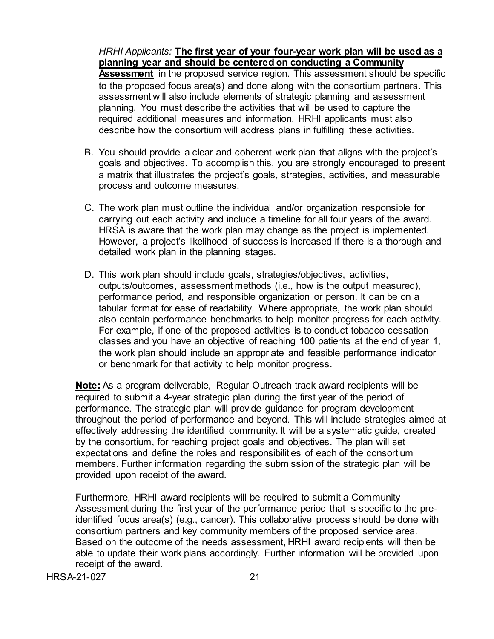*HRHI Applicants:* **The first year of your four-year work plan will be used as a planning year and should be centered on conducting a Community Assessment** in the proposed service region. This assessment should be specific to the proposed focus area(s) and done along with the consortium partners. This assessment will also include elements of strategic planning and assessment planning. You must describe the activities that will be used to capture the required additional measures and information. HRHI applicants must also describe how the consortium will address plans in fulfilling these activities.

- B. You should provide a clear and coherent work plan that aligns with the project's goals and objectives. To accomplish this, you are strongly encouraged to present a matrix that illustrates the project's goals, strategies, activities, and measurable process and outcome measures.
- C. The work plan must outline the individual and/or organization responsible for carrying out each activity and include a timeline for all four years of the award. HRSA is aware that the work plan may change as the project is implemented. However, a project's likelihood of success is increased if there is a thorough and detailed work plan in the planning stages.
- D. This work plan should include goals, strategies/objectives, activities, outputs/outcomes, assessment methods (i.e., how is the output measured), performance period, and responsible organization or person. It can be on a tabular format for ease of readability. Where appropriate, the work plan should also contain performance benchmarks to help monitor progress for each activity. For example, if one of the proposed activities is to conduct tobacco cessation classes and you have an objective of reaching 100 patients at the end of year 1, the work plan should include an appropriate and feasible performance indicator or benchmark for that activity to help monitor progress.

**Note:** As a program deliverable, Regular Outreach track award recipients will be required to submit a 4-year strategic plan during the first year of the period of performance. The strategic plan will provide guidance for program development throughout the period of performance and beyond. This will include strategies aimed at effectively addressing the identified community. It will be a systematic guide, created by the consortium, for reaching project goals and objectives. The plan will set expectations and define the roles and responsibilities of each of the consortium members. Further information regarding the submission of the strategic plan will be provided upon receipt of the award.

Furthermore, HRHI award recipients will be required to submit a Community Assessment during the first year of the performance period that is specific to the preidentified focus area(s) (e.g., cancer). This collaborative process should be done with consortium partners and key community members of the proposed service area. Based on the outcome of the needs assessment, HRHI award recipients will then be able to update their work plans accordingly. Further information will be provided upon receipt of the award.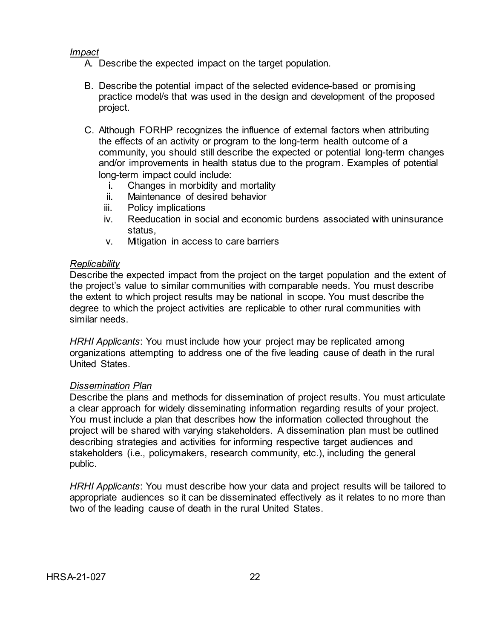#### *Impact*

- A. Describe the expected impact on the target population.
- B. Describe the potential impact of the selected evidence-based or promising practice model/s that was used in the design and development of the proposed project.
- C. Although FORHP recognizes the influence of external factors when attributing the effects of an activity or program to the long-term health outcome of a community, you should still describe the expected or potential long-term changes and/or improvements in health status due to the program. Examples of potential long-term impact could include:
	- i. Changes in morbidity and mortality
	- ii. Maintenance of desired behavior
	- iii. Policy implications
	- iv. Reeducation in social and economic burdens associated with uninsurance status,
	- v. Mitigation in access to care barriers

#### *Replicability*

Describe the expected impact from the project on the target population and the extent of the project's value to similar communities with comparable needs. You must describe the extent to which project results may be national in scope. You must describe the degree to which the project activities are replicable to other rural communities with similar needs.

*HRHI Applicants*: You must include how your project may be replicated among organizations attempting to address one of the five leading cause of death in the rural United States.

#### *Dissemination Plan*

Describe the plans and methods for dissemination of project results. You must articulate a clear approach for widely disseminating information regarding results of your project. You must include a plan that describes how the information collected throughout the project will be shared with varying stakeholders. A dissemination plan must be outlined describing strategies and activities for informing respective target audiences and stakeholders (i.e., policymakers, research community, etc.), including the general public.

*HRHI Applicants*: You must describe how your data and project results will be tailored to appropriate audiences so it can be disseminated effectively as it relates to no more than two of the leading cause of death in the rural United States.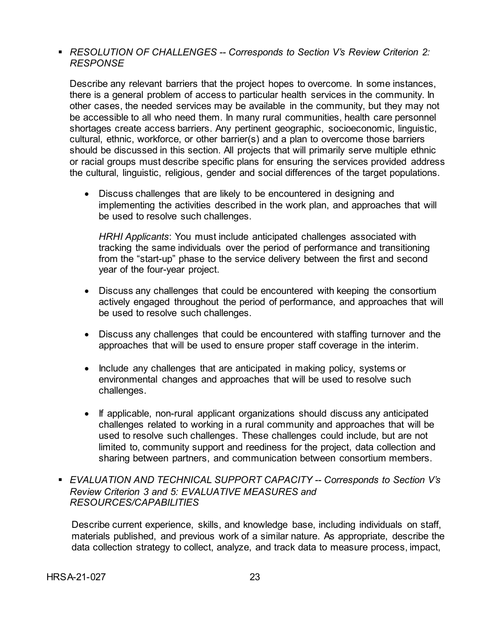*RESOLUTION OF CHALLENGES -- Corresponds to Section V's Review Criterion 2: RESPONSE*

Describe any relevant barriers that the project hopes to overcome. In some instances, there is a general problem of access to particular health services in the community. In other cases, the needed services may be available in the community, but they may not be accessible to all who need them. In many rural communities, health care personnel shortages create access barriers. Any pertinent geographic, socioeconomic, linguistic, cultural, ethnic, workforce, or other barrier(s) and a plan to overcome those barriers should be discussed in this section. All projects that will primarily serve multiple ethnic or racial groups must describe specific plans for ensuring the services provided address the cultural, linguistic, religious, gender and social differences of the target populations.

• Discuss challenges that are likely to be encountered in designing and implementing the activities described in the work plan, and approaches that will be used to resolve such challenges.

*HRHI Applicants*: You must include anticipated challenges associated with tracking the same individuals over the period of performance and transitioning from the "start-up" phase to the service delivery between the first and second year of the four-year project.

- Discuss any challenges that could be encountered with keeping the consortium actively engaged throughout the period of performance, and approaches that will be used to resolve such challenges.
- Discuss any challenges that could be encountered with staffing turnover and the approaches that will be used to ensure proper staff coverage in the interim.
- Include any challenges that are anticipated in making policy, systems or environmental changes and approaches that will be used to resolve such challenges.
- If applicable, non-rural applicant organizations should discuss any anticipated challenges related to working in a rural community and approaches that will be used to resolve such challenges. These challenges could include, but are not limited to, community support and reediness for the project, data collection and sharing between partners, and communication between consortium members.
- *EVALUATION AND TECHNICAL SUPPORT CAPACITY -- Corresponds to Section V's Review Criterion 3 and 5: EVALUATIVE MEASURES and RESOURCES/CAPABILITIES*

Describe current experience, skills, and knowledge base, including individuals on staff, materials published, and previous work of a similar nature. As appropriate, describe the data collection strategy to collect, analyze, and track data to measure process, impact,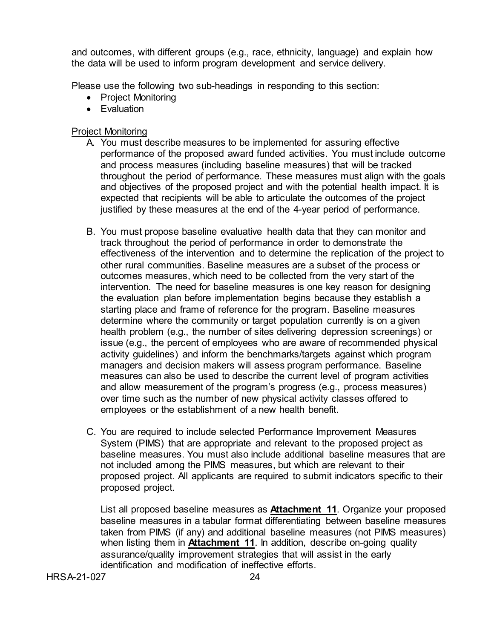and outcomes, with different groups (e.g., race, ethnicity, language) and explain how the data will be used to inform program development and service delivery.

Please use the following two sub-headings in responding to this section:

- Project Monitoring
- Evaluation

## Project Monitoring

- A. You must describe measures to be implemented for assuring effective performance of the proposed award funded activities. You must include outcome and process measures (including baseline measures) that will be tracked throughout the period of performance. These measures must align with the goals and objectives of the proposed project and with the potential health impact. It is expected that recipients will be able to articulate the outcomes of the project justified by these measures at the end of the 4-year period of performance.
- B. You must propose baseline evaluative health data that they can monitor and track throughout the period of performance in order to demonstrate the effectiveness of the intervention and to determine the replication of the project to other rural communities. Baseline measures are a subset of the process or outcomes measures, which need to be collected from the very start of the intervention. The need for baseline measures is one key reason for designing the evaluation plan before implementation begins because they establish a starting place and frame of reference for the program. Baseline measures determine where the community or target population currently is on a given health problem (e.g., the number of sites delivering depression screenings) or issue (e.g., the percent of employees who are aware of recommended physical activity guidelines) and inform the benchmarks/targets against which program managers and decision makers will assess program performance. Baseline measures can also be used to describe the current level of program activities and allow measurement of the program's progress (e.g., process measures) over time such as the number of new physical activity classes offered to employees or the establishment of a new health benefit.
- C. You are required to include selected Performance Improvement Measures System (PIMS) that are appropriate and relevant to the proposed project as baseline measures. You must also include additional baseline measures that are not included among the PIMS measures, but which are relevant to their proposed project. All applicants are required to submit indicators specific to their proposed project.

List all proposed baseline measures as **Attachment 11**. Organize your proposed baseline measures in a tabular format differentiating between baseline measures taken from PIMS (if any) and additional baseline measures (not PIMS measures) when listing them in **Attachment 11**. In addition, describe on-going quality assurance/quality improvement strategies that will assist in the early identification and modification of ineffective efforts.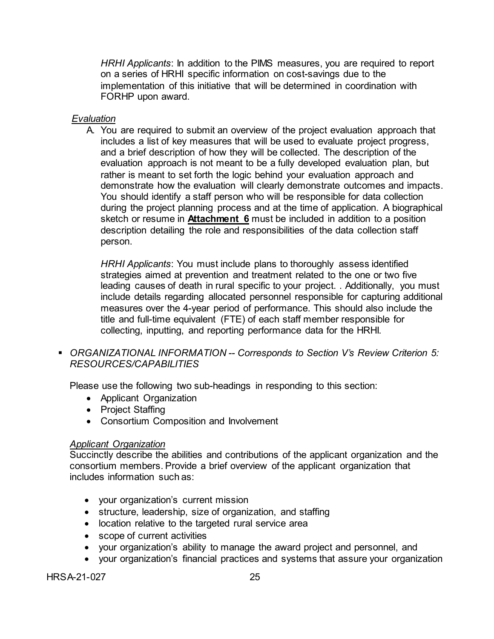*HRHI Applicants*: In addition to the PIMS measures, you are required to report on a series of HRHI specific information on cost-savings due to the implementation of this initiative that will be determined in coordination with FORHP upon award.

## *Evaluation*

A. You are required to submit an overview of the project evaluation approach that includes a list of key measures that will be used to evaluate project progress, and a brief description of how they will be collected. The description of the evaluation approach is not meant to be a fully developed evaluation plan, but rather is meant to set forth the logic behind your evaluation approach and demonstrate how the evaluation will clearly demonstrate outcomes and impacts. You should identify a staff person who will be responsible for data collection during the project planning process and at the time of application. A biographical sketch or resume in **Attachment 6** must be included in addition to a position description detailing the role and responsibilities of the data collection staff person.

*HRHI Applicants*: You must include plans to thoroughly assess identified strategies aimed at prevention and treatment related to the one or two five leading causes of death in rural specific to your project. . Additionally, you must include details regarding allocated personnel responsible for capturing additional measures over the 4-year period of performance. This should also include the title and full-time equivalent (FTE) of each staff member responsible for collecting, inputting, and reporting performance data for the HRHI.

 *ORGANIZATIONAL INFORMATION -- Corresponds to Section V's Review Criterion 5: RESOURCES/CAPABILITIES*

Please use the following two sub-headings in responding to this section:

- Applicant Organization
- Project Staffing
- Consortium Composition and Involvement

## *Applicant Organization*

Succinctly describe the abilities and contributions of the applicant organization and the consortium members. Provide a brief overview of the applicant organization that includes information such as:

- your organization's current mission
- structure, leadership, size of organization, and staffing
- location relative to the targeted rural service area
- scope of current activities
- your organization's ability to manage the award project and personnel, and
- your organization's financial practices and systems that assure your organization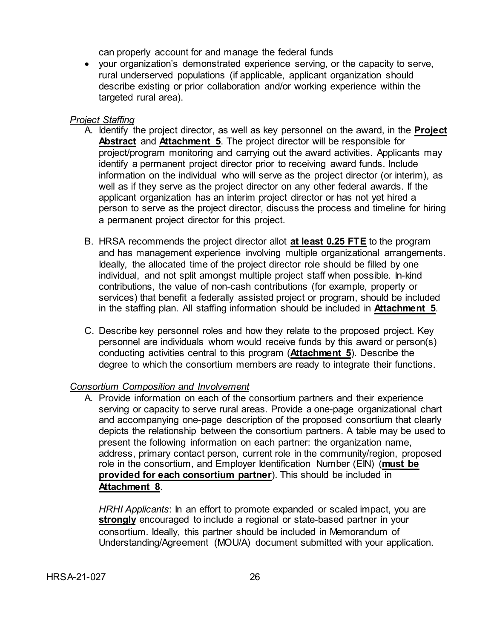can properly account for and manage the federal funds

• your organization's demonstrated experience serving, or the capacity to serve, rural underserved populations (if applicable, applicant organization should describe existing or prior collaboration and/or working experience within the targeted rural area).

## *Project Staffing*

- A. Identify the project director, as well as key personnel on the award, in the **Project Abstract** and **Attachment 5**. The project director will be responsible for project/program monitoring and carrying out the award activities. Applicants may identify a permanent project director prior to receiving award funds. Include information on the individual who will serve as the project director (or interim), as well as if they serve as the project director on any other federal awards. If the applicant organization has an interim project director or has not yet hired a person to serve as the project director, discuss the process and timeline for hiring a permanent project director for this project.
- B. HRSA recommends the project director allot **at least 0.25 FTE** to the program and has management experience involving multiple organizational arrangements. Ideally, the allocated time of the project director role should be filled by one individual, and not split amongst multiple project staff when possible. In-kind contributions, the value of non-cash contributions (for example, property or services) that benefit a federally assisted project or program, should be included in the staffing plan. All staffing information should be included in **Attachment 5**.
- C. Describe key personnel roles and how they relate to the proposed project. Key personnel are individuals whom would receive funds by this award or person(s) conducting activities central to this program (**Attachment 5**). Describe the degree to which the consortium members are ready to integrate their functions.

# *Consortium Composition and Involvement*

A. Provide information on each of the consortium partners and their experience serving or capacity to serve rural areas. Provide a one-page organizational chart and accompanying one-page description of the proposed consortium that clearly depicts the relationship between the consortium partners. A table may be used to present the following information on each partner: the organization name, address, primary contact person, current role in the community/region, proposed role in the consortium, and Employer Identification Number (EIN) (**must be provided for each consortium partner**). This should be included in **Attachment 8**.

*HRHI Applicants*: In an effort to promote expanded or scaled impact, you are **strongly** encouraged to include a regional or state-based partner in your consortium. Ideally, this partner should be included in Memorandum of Understanding/Agreement (MOU/A) document submitted with your application.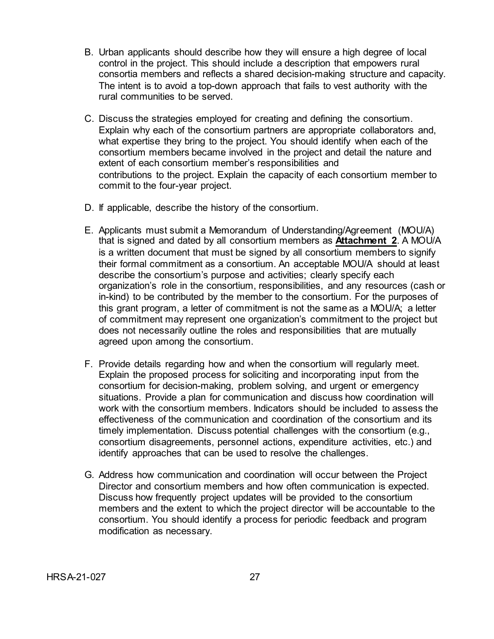- B. Urban applicants should describe how they will ensure a high degree of local control in the project. This should include a description that empowers rural consortia members and reflects a shared decision-making structure and capacity. The intent is to avoid a top-down approach that fails to vest authority with the rural communities to be served.
- C. Discuss the strategies employed for creating and defining the consortium. Explain why each of the consortium partners are appropriate collaborators and, what expertise they bring to the project. You should identify when each of the consortium members became involved in the project and detail the nature and extent of each consortium member's responsibilities and contributions to the project. Explain the capacity of each consortium member to commit to the four-year project.
- D. If applicable, describe the history of the consortium.
- E. Applicants must submit a Memorandum of Understanding/Agreement (MOU/A) that is signed and dated by all consortium members as **Attachment 2**. A MOU/A is a written document that must be signed by all consortium members to signify their formal commitment as a consortium. An acceptable MOU/A should at least describe the consortium's purpose and activities; clearly specify each organization's role in the consortium, responsibilities, and any resources (cash or in-kind) to be contributed by the member to the consortium. For the purposes of this grant program, a letter of commitment is not the same as a MOU/A; a letter of commitment may represent one organization's commitment to the project but does not necessarily outline the roles and responsibilities that are mutually agreed upon among the consortium.
- F. Provide details regarding how and when the consortium will regularly meet. Explain the proposed process for soliciting and incorporating input from the consortium for decision-making, problem solving, and urgent or emergency situations. Provide a plan for communication and discuss how coordination will work with the consortium members. Indicators should be included to assess the effectiveness of the communication and coordination of the consortium and its timely implementation. Discuss potential challenges with the consortium (e.g., consortium disagreements, personnel actions, expenditure activities, etc.) and identify approaches that can be used to resolve the challenges.
- G. Address how communication and coordination will occur between the Project Director and consortium members and how often communication is expected. Discuss how frequently project updates will be provided to the consortium members and the extent to which the project director will be accountable to the consortium. You should identify a process for periodic feedback and program modification as necessary.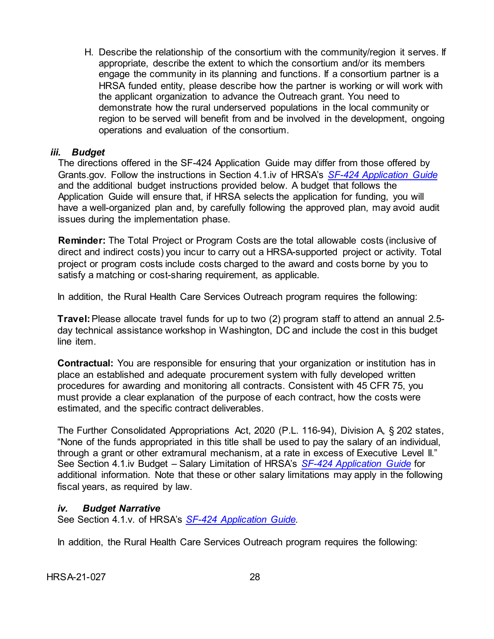H. Describe the relationship of the consortium with the community/region it serves. If appropriate, describe the extent to which the consortium and/or its members engage the community in its planning and functions. If a consortium partner is a HRSA funded entity, please describe how the partner is working or will work with the applicant organization to advance the Outreach grant. You need to demonstrate how the rural underserved populations in the local community or region to be served will benefit from and be involved in the development, ongoing operations and evaluation of the consortium.

#### <span id="page-32-0"></span>*iii. Budget*

The directions offered in the SF-424 Application Guide may differ from those offered by Grants.gov. Follow the instructions in Section 4.1.iv of HRSA's *SF-424 [Application Guide](http://www.hrsa.gov/grants/apply/applicationguide/sf424guide.pdf)* and the additional budget instructions provided below. A budget that follows the Application Guide will ensure that, if HRSA selects the application for funding, you will have a well-organized plan and, by carefully following the approved plan, may avoid audit issues during the implementation phase.

**Reminder:** The Total Project or Program Costs are the total allowable costs (inclusive of direct and indirect costs) you incur to carry out a HRSA-supported project or activity. Total project or program costs include costs charged to the award and costs borne by you to satisfy a matching or cost-sharing requirement, as applicable.

In addition, the Rural Health Care Services Outreach program requires the following:

**Travel:**Please allocate travel funds for up to two (2) program staff to attend an annual 2.5 day technical assistance workshop in Washington, DC and include the cost in this budget line item.

**Contractual:** You are responsible for ensuring that your organization or institution has in place an established and adequate procurement system with fully developed written procedures for awarding and monitoring all contracts. Consistent with 45 CFR 75, you must provide a clear explanation of the purpose of each contract, how the costs were estimated, and the specific contract deliverables.

The Further Consolidated Appropriations Act, 2020 (P.L. 116-94), Division A, § 202 states, "None of the funds appropriated in this title shall be used to pay the salary of an individual, through a grant or other extramural mechanism, at a rate in excess of Executive Level II." See Section 4.1.iv Budget – Salary Limitation of HRSA's *[SF-424 Application Guide](http://www.hrsa.gov/grants/apply/applicationguide/sf424guide.pdf)* for additional information. Note that these or other salary limitations may apply in the following fiscal years, as required by law.

## <span id="page-32-1"></span>*iv. Budget Narrative*

See Section 4.1.v. of HRSA's *SF-424 [Application Guide.](http://www.hrsa.gov/grants/apply/applicationguide/sf424guide.pdf)*

In addition, the Rural Health Care Services Outreach program requires the following:

HRSA-21-027 28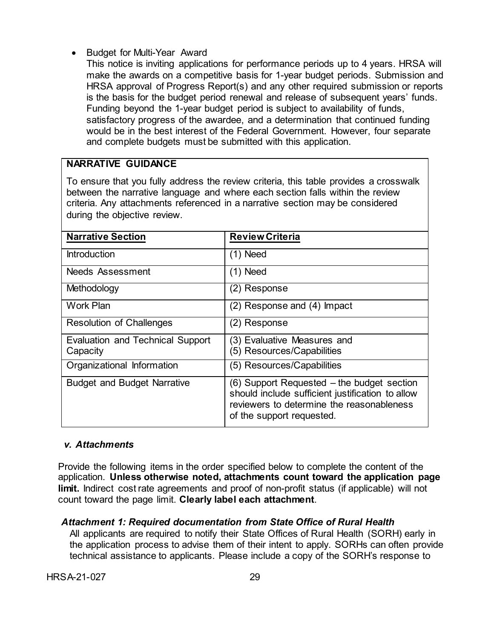• Budget for Multi-Year Award

This notice is inviting applications for performance periods up to 4 years. HRSA will make the awards on a competitive basis for 1-year budget periods. Submission and HRSA approval of Progress Report(s) and any other required submission or reports is the basis for the budget period renewal and release of subsequent years' funds. Funding beyond the 1-year budget period is subject to availability of funds, satisfactory progress of the awardee, and a determination that continued funding would be in the best interest of the Federal Government. However, four separate and complete budgets must be submitted with this application.

## **NARRATIVE GUIDANCE**

To ensure that you fully address the review criteria, this table provides a crosswalk between the narrative language and where each section falls within the review criteria. Any attachments referenced in a narrative section may be considered during the objective review.

| <b>Narrative Section</b>                     | <b>Review Criteria</b>                                                                                                                                                   |  |
|----------------------------------------------|--------------------------------------------------------------------------------------------------------------------------------------------------------------------------|--|
| <b>Introduction</b>                          | (1) Need                                                                                                                                                                 |  |
| Needs Assessment                             | (1) Need                                                                                                                                                                 |  |
| Methodology                                  | (2) Response                                                                                                                                                             |  |
| <b>Work Plan</b>                             | (2) Response and (4) Impact                                                                                                                                              |  |
| <b>Resolution of Challenges</b>              | (2) Response                                                                                                                                                             |  |
| Evaluation and Technical Support<br>Capacity | (3) Evaluative Measures and<br>(5) Resources/Capabilities                                                                                                                |  |
| Organizational Information                   | (5) Resources/Capabilities                                                                                                                                               |  |
| <b>Budget and Budget Narrative</b>           | (6) Support Requested - the budget section<br>should include sufficient justification to allow<br>reviewers to determine the reasonableness<br>of the support requested. |  |

#### <span id="page-33-0"></span>*v. Attachments*

Provide the following items in the order specified below to complete the content of the application. **Unless otherwise noted, attachments count toward the application page limit.** Indirect cost rate agreements and proof of non-profit status (if applicable) will not count toward the page limit. **Clearly label each attachment**.

## *Attachment 1: Required documentation from State Office of Rural Health*

All applicants are required to notify their State Offices of Rural Health (SORH) early in the application process to advise them of their intent to apply. SORHs can often provide technical assistance to applicants. Please include a copy of the SORH's response to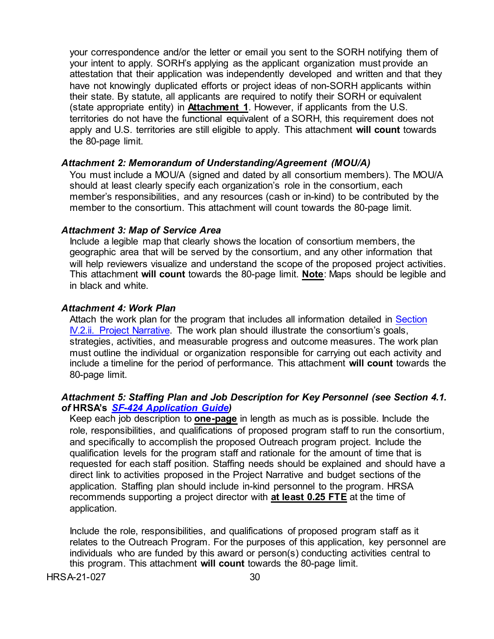your correspondence and/or the letter or email you sent to the SORH notifying them of your intent to apply. SORH's applying as the applicant organization must provide an attestation that their application was independently developed and written and that they have not knowingly duplicated efforts or project ideas of non-SORH applicants within their state. By statute, all applicants are required to notify their SORH or equivalent (state appropriate entity) in **Attachment 1**. However, if applicants from the U.S. territories do not have the functional equivalent of a SORH, this requirement does not apply and U.S. territories are still eligible to apply. This attachment **will count** towards the 80-page limit.

#### *Attachment 2: Memorandum of Understanding/Agreement (MOU/A)*

You must include a MOU/A (signed and dated by all consortium members). The MOU/A should at least clearly specify each organization's role in the consortium, each member's responsibilities, and any resources (cash or in-kind) to be contributed by the member to the consortium. This attachment will count towards the 80-page limit.

#### *Attachment 3: Map of Service Area*

Include a legible map that clearly shows the location of consortium members, the geographic area that will be served by the consortium, and any other information that will help reviewers visualize and understand the scope of the proposed project activities. This attachment **will count** towards the 80-page limit. **Note**: Maps should be legible and in black and white.

#### *Attachment 4: Work Plan*

Attach the work plan for the program that includes all information detailed in Section [IV.2.ii. Project Narrative.](#page-16-0) The work plan should illustrate the consortium's goals, strategies, activities, and measurable progress and outcome measures. The work plan must outline the individual or organization responsible for carrying out each activity and include a timeline for the period of performance. This attachment **will count** towards the 80-page limit.

#### *Attachment 5: Staffing Plan and Job Description for Key Personnel (see Section 4.1. of* **HRSA's** *SF-424 [Application Guide\)](http://www.hrsa.gov/grants/apply/applicationguide/sf424guide.pdf)*

Keep each job description to **one-page** in length as much as is possible. Include the role, responsibilities, and qualifications of proposed program staff to run the consortium, and specifically to accomplish the proposed Outreach program project. Include the qualification levels for the program staff and rationale for the amount of time that is requested for each staff position. Staffing needs should be explained and should have a direct link to activities proposed in the Project Narrative and budget sections of the application. Staffing plan should include in-kind personnel to the program. HRSA recommends supporting a project director with **at least 0.25 FTE** at the time of application.

Include the role, responsibilities, and qualifications of proposed program staff as it relates to the Outreach Program. For the purposes of this application, key personnel are individuals who are funded by this award or person(s) conducting activities central to this program. This attachment **will count** towards the 80-page limit.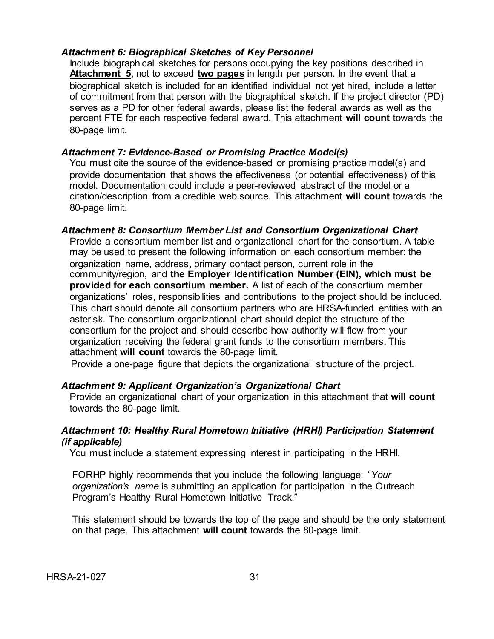#### *Attachment 6: Biographical Sketches of Key Personnel*

Include biographical sketches for persons occupying the key positions described in **Attachment 5**, not to exceed **two pages** in length per person. In the event that a biographical sketch is included for an identified individual not yet hired, include a letter of commitment from that person with the biographical sketch. If the project director (PD) serves as a PD for other federal awards, please list the federal awards as well as the percent FTE for each respective federal award. This attachment **will count** towards the 80-page limit.

#### *Attachment 7: Evidence-Based or Promising Practice Model(s)*

You must cite the source of the evidence-based or promising practice model(s) and provide documentation that shows the effectiveness (or potential effectiveness) of this model. Documentation could include a peer-reviewed abstract of the model or a citation/description from a credible web source. This attachment **will count** towards the 80-page limit.

#### *Attachment 8: Consortium Member List and Consortium Organizational Chart*

Provide a consortium member list and organizational chart for the consortium. A table may be used to present the following information on each consortium member: the organization name, address, primary contact person, current role in the community/region, and **the Employer Identification Number (EIN), which must be provided for each consortium member.** A list of each of the consortium member organizations' roles, responsibilities and contributions to the project should be included. This chart should denote all consortium partners who are HRSA-funded entities with an asterisk. The consortium organizational chart should depict the structure of the consortium for the project and should describe how authority will flow from your organization receiving the federal grant funds to the consortium members. This attachment **will count** towards the 80-page limit.

Provide a one-page figure that depicts the organizational structure of the project.

#### *Attachment 9: Applicant Organization's Organizational Chart*

Provide an organizational chart of your organization in this attachment that **will count** towards the 80-page limit.

#### <span id="page-35-0"></span>*Attachment 10: Healthy Rural Hometown Initiative (HRHI) Participation Statement (if applicable)*

You must include a statement expressing interest in participating in the HRHI.

FORHP highly recommends that you include the following language: "*Your organization's name* is submitting an application for participation in the Outreach Program's Healthy Rural Hometown Initiative Track."

This statement should be towards the top of the page and should be the only statement on that page. This attachment **will count** towards the 80-page limit.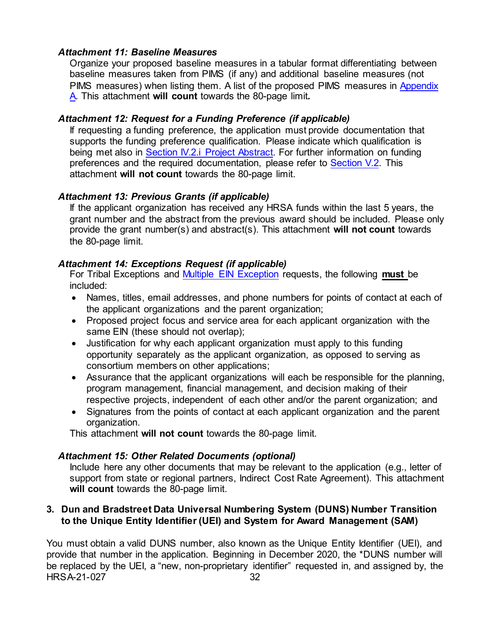## *Attachment 11: Baseline Measures*

Organize your proposed baseline measures in a tabular format differentiating between baseline measures taken from PIMS (if any) and additional baseline measures (not PIMS measures) when listing them. A list of the proposed PIMS measures in Appendix [A.](#page-52-0) This attachment **will count** towards the 80-page limit*.*

## *Attachment 12: Request for a Funding Preference (if applicable)*

If requesting a funding preference, the application must provide documentation that supports the funding preference qualification. Please indicate which qualification is being met also in Section IV.2.i Project Abstract. For further information on funding preferences and the required documentation, please refer to [Section V.2.](#page-45-1) This attachment **will not count** towards the 80-page limit.

## *Attachment 13: Previous Grants (if applicable)*

If the applicant organization has received any HRSA funds within the last 5 years, the grant number and the abstract from the previous award should be included. Please only provide the grant number(s) and abstract(s). This attachment **will not count** towards the 80-page limit.

## *Attachment 14: Exceptions Request (if applicable)*

For Tribal Exceptions and [Multiple EIN Exception](#page-12-2) requests, the following **must** be included:

- Names, titles, email addresses, and phone numbers for points of contact at each of the applicant organizations and the parent organization;
- Proposed project focus and service area for each applicant organization with the same EIN (these should not overlap);
- Justification for why each applicant organization must apply to this funding opportunity separately as the applicant organization, as opposed to serving as consortium members on other applications;
- Assurance that the applicant organizations will each be responsible for the planning, program management, financial management, and decision making of their respective projects, independent of each other and/or the parent organization; and
- Signatures from the points of contact at each applicant organization and the parent organization.

This attachment **will not count** towards the 80-page limit.

## *Attachment 15: Other Related Documents (optional)*

Include here any other documents that may be relevant to the application (e.g., letter of support from state or regional partners, Indirect Cost Rate Agreement). This attachment **will count** towards the 80-page limit.

## <span id="page-36-0"></span>**3. Dun and Bradstreet Data Universal Numbering System (DUNS) Number Transition to the Unique Entity Identifier (UEI) and System for Award Management (SAM)**

HRSA-21-027 32 You must obtain a valid DUNS number, also known as the Unique Entity Identifier (UEI), and provide that number in the application. Beginning in December 2020, the \*DUNS number will be replaced by the UEI, a "new, non-proprietary identifier" requested in, and assigned by, the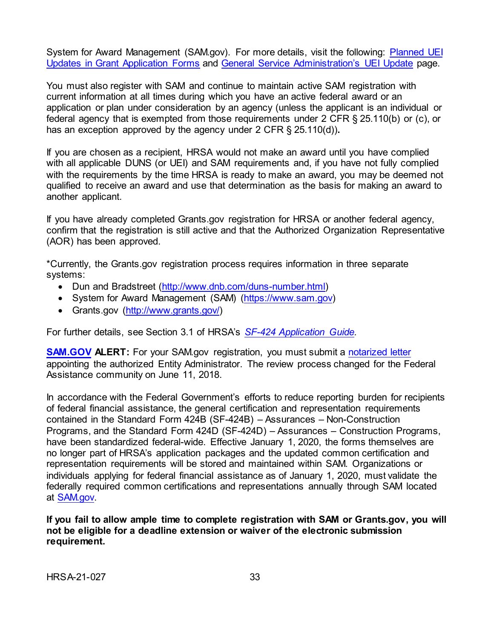System for Award Management (SAM.gov). For more details, visit the following: [Planned UEI](https://www.grants.gov/web/grants/forms/planned-uei-updates.html)  [Updates in Grant Application Forms](https://www.grants.gov/web/grants/forms/planned-uei-updates.html) and [General Service Administration's](https://www.gsa.gov/entityid) UEI Update page.

You must also register with SAM and continue to maintain active SAM registration with current information at all times during which you have an active federal award or an application or plan under consideration by an agency (unless the applicant is an individual or federal agency that is exempted from those requirements under 2 CFR § 25.110(b) or (c), or has an exception approved by the agency under 2 CFR § 25.110(d))**.**

If you are chosen as a recipient, HRSA would not make an award until you have complied with all applicable DUNS (or UEI) and SAM requirements and, if you have not fully complied with the requirements by the time HRSA is ready to make an award, you may be deemed not qualified to receive an award and use that determination as the basis for making an award to another applicant.

If you have already completed Grants.gov registration for HRSA or another federal agency, confirm that the registration is still active and that the Authorized Organization Representative (AOR) has been approved.

\*Currently, the Grants.gov registration process requires information in three separate systems:

- Dun and Bradstreet [\(http://www.dnb.com/duns-number.html\)](http://www.dnb.com/duns-number.html)
- System for Award Management (SAM) [\(https://www.sam.gov\)](https://www.sam.gov/)
- Grants.gov [\(http://www.grants.gov/\)](http://www.grants.gov/)

For further details, see Section 3.1 of HRSA's *SF-424 [Application Guide.](http://www.hrsa.gov/grants/apply/applicationguide/sf424guide.pdf)*

**[SAM.GOV](http://sam.gov/) ALERT:** For your SAM.gov registration, you must submit a [notarized letter](https://www.fsd.gov/fsd-gov/answer.do?sysparm_kbid=d2e67885db0d5f00b3257d321f96194b&sysparm_search=kb0013183) appointing the authorized Entity Administrator. The review process changed for the Federal Assistance community on June 11, 2018.

In accordance with the Federal Government's efforts to reduce reporting burden for recipients of federal financial assistance, the general certification and representation requirements contained in the Standard Form 424B (SF-424B) – Assurances – Non-Construction Programs, and the Standard Form 424D (SF-424D) – Assurances – Construction Programs, have been standardized federal-wide. Effective January 1, 2020, the forms themselves are no longer part of HRSA's application packages and the updated common certification and representation requirements will be stored and maintained within SAM. Organizations or individuals applying for federal financial assistance as of January 1, 2020, must validate the federally required common certifications and representations annually through SAM located at [SAM.gov.](https://www.sam.gov/)

**If you fail to allow ample time to complete registration with SAM or Grants.gov, you will not be eligible for a deadline extension or waiver of the electronic submission requirement.**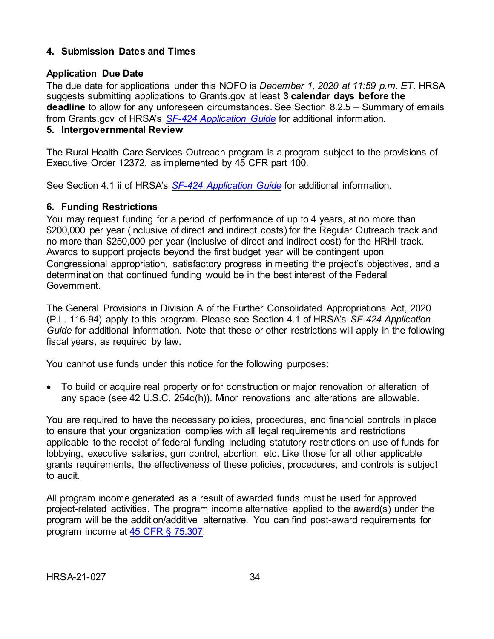## <span id="page-38-0"></span>**4. Submission Dates and Times**

## **Application Due Date**

The due date for applications under this NOFO is *December 1, 2020 at 11:59 p.m. ET*. HRSA suggests submitting applications to Grants.gov at least **3 calendar days before the deadline** to allow for any unforeseen circumstances. See Section 8.2.5 – Summary of emails from Grants.gov of HRSA's *[SF-424 Application Guide](http://www.hrsa.gov/grants/apply/applicationguide/sf424guide.pdf)* for additional information.

# <span id="page-38-1"></span>**5. Intergovernmental Review**

The Rural Health Care Services Outreach program is a program subject to the provisions of Executive Order 12372, as implemented by 45 CFR part 100.

See Section 4.1 ii of HRSA's *SF-424 [Application Guide](http://www.hrsa.gov/grants/apply/applicationguide/sf424guide.pdf)* for additional information.

## <span id="page-38-2"></span>**6. Funding Restrictions**

You may request funding for a period of performance of up to 4 years, at no more than \$200,000 per year (inclusive of direct and indirect costs) for the Regular Outreach track and no more than \$250,000 per year (inclusive of direct and indirect cost) for the HRHI track. Awards to support projects beyond the first budget year will be contingent upon Congressional appropriation, satisfactory progress in meeting the project's objectives, and a determination that continued funding would be in the best interest of the Federal Government.

The General Provisions in Division A of the Further Consolidated Appropriations Act, 2020 (P.L. 116-94) apply to this program. Please see Section 4.1 of HRSA's *SF-424 Application Guide* for additional information. Note that these or other restrictions will apply in the following fiscal years, as required by law.

You cannot use funds under this notice for the following purposes:

• To build or acquire real property or for construction or major renovation or alteration of any space (see 42 U.S.C. 254c(h)). Minor renovations and alterations are allowable.

You are required to have the necessary policies, procedures, and financial controls in place to ensure that your organization complies with all legal requirements and restrictions applicable to the receipt of federal funding including statutory restrictions on use of funds for lobbying, executive salaries, gun control, abortion, etc. Like those for all other applicable grants requirements, the effectiveness of these policies, procedures, and controls is subject to audit.

<span id="page-38-3"></span>All program income generated as a result of awarded funds must be used for approved project-related activities. The program income alternative applied to the award(s) under the program will be the addition/additive alternative. You can find post-award requirements for program income at [45 CFR § 75.307.](https://www.ecfr.gov/cgi-bin/retrieveECFR?gp=1&SID=4d52364ec83fab994c665943dadf9cf7&ty=HTML&h=L&r=PART&n=pt45.1.75)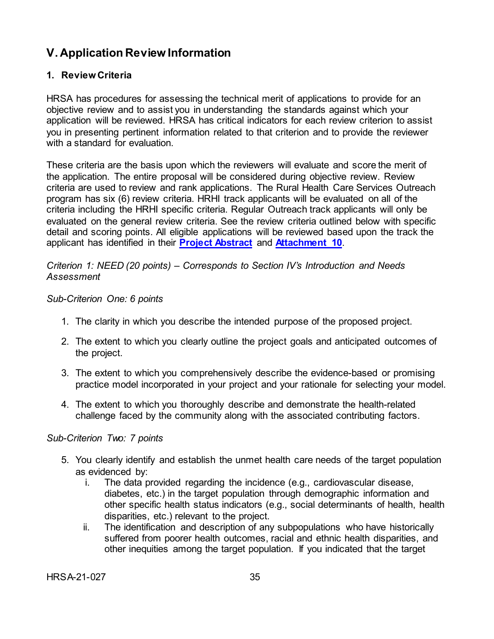# **V. Application Review Information**

# <span id="page-39-0"></span>**1. Review Criteria**

HRSA has procedures for assessing the technical merit of applications to provide for an objective review and to assist you in understanding the standards against which your application will be reviewed. HRSA has critical indicators for each review criterion to assist you in presenting pertinent information related to that criterion and to provide the reviewer with a standard for evaluation.

These criteria are the basis upon which the reviewers will evaluate and score the merit of the application. The entire proposal will be considered during objective review. Review criteria are used to review and rank applications. The Rural Health Care Services Outreach program has six (6) review criteria. HRHI track applicants will be evaluated on all of the criteria including the HRHI specific criteria. Regular Outreach track applicants will only be evaluated on the general review criteria. See the review criteria outlined below with specific detail and scoring points. All eligible applications will be reviewed based upon the track the applicant has identified in their **[Project Abstract](#page-15-0)** and **[Attachment 10](#page-35-0)**.

## *Criterion 1: NEED (20 points) – Corresponds to Section IV's Introduction and Needs Assessment*

## *Sub-Criterion One: 6 points*

- 1. The clarity in which you describe the intended purpose of the proposed project.
- 2. The extent to which you clearly outline the project goals and anticipated outcomes of the project.
- 3. The extent to which you comprehensively describe the evidence-based or promising practice model incorporated in your project and your rationale for selecting your model.
- 4. The extent to which you thoroughly describe and demonstrate the health-related challenge faced by the community along with the associated contributing factors.

## *Sub-Criterion Two: 7 points*

- 5. You clearly identify and establish the unmet health care needs of the target population as evidenced by:
	- i. The data provided regarding the incidence (e.g., cardiovascular disease, diabetes, etc.) in the target population through demographic information and other specific health status indicators (e.g., social determinants of health, health disparities, etc.) relevant to the project.
	- ii. The identification and description of any subpopulations who have historically suffered from poorer health outcomes, racial and ethnic health disparities, and other inequities among the target population. If you indicated that the target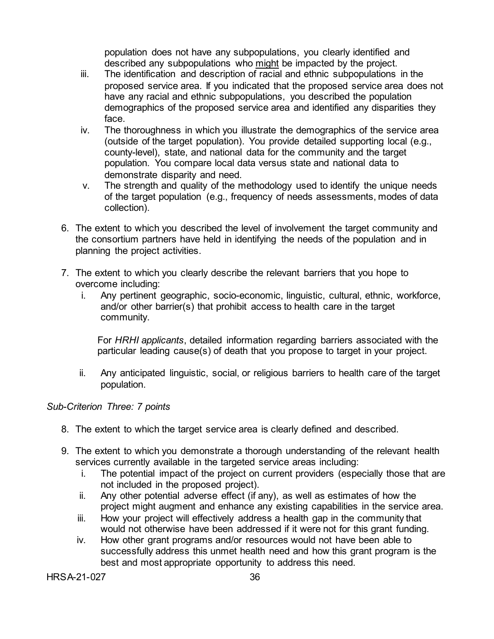population does not have any subpopulations, you clearly identified and described any subpopulations who might be impacted by the project.

- iii. The identification and description of racial and ethnic subpopulations in the proposed service area. If you indicated that the proposed service area does not have any racial and ethnic subpopulations, you described the population demographics of the proposed service area and identified any disparities they face.
- iv. The thoroughness in which you illustrate the demographics of the service area (outside of the target population). You provide detailed supporting local (e.g., county-level), state, and national data for the community and the target population. You compare local data versus state and national data to demonstrate disparity and need.
- v. The strength and quality of the methodology used to identify the unique needs of the target population (e.g., frequency of needs assessments, modes of data collection).
- 6. The extent to which you described the level of involvement the target community and the consortium partners have held in identifying the needs of the population and in planning the project activities.
- 7. The extent to which you clearly describe the relevant barriers that you hope to overcome including:
	- i. Any pertinent geographic, socio-economic, linguistic, cultural, ethnic, workforce, and/or other barrier(s) that prohibit access to health care in the target community.

For *HRHI applicants*, detailed information regarding barriers associated with the particular leading cause(s) of death that you propose to target in your project.

ii. Any anticipated linguistic, social, or religious barriers to health care of the target population.

# *Sub-Criterion Three: 7 points*

- 8. The extent to which the target service area is clearly defined and described.
- 9. The extent to which you demonstrate a thorough understanding of the relevant health services currently available in the targeted service areas including:
	- i. The potential impact of the project on current providers (especially those that are not included in the proposed project).
	- ii. Any other potential adverse effect (if any), as well as estimates of how the project might augment and enhance any existing capabilities in the service area.
	- iii. How your project will effectively address a health gap in the community that would not otherwise have been addressed if it were not for this grant funding.
	- iv. How other grant programs and/or resources would not have been able to successfully address this unmet health need and how this grant program is the best and most appropriate opportunity to address this need.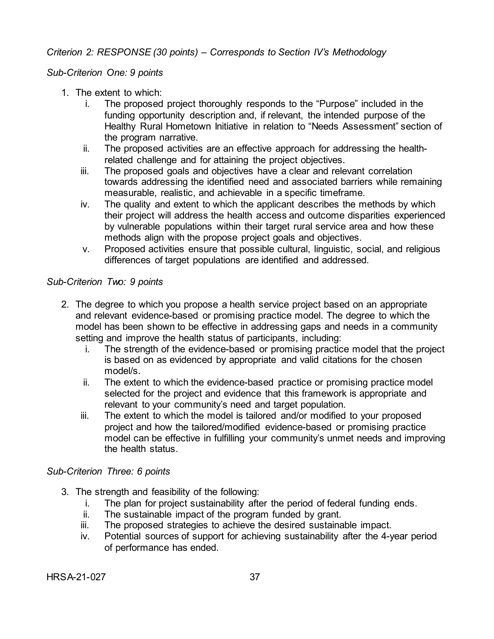## *Criterion 2: RESPONSE (30 points) – Corresponds to Section IV's Methodology*

## *Sub-Criterion One: 9 points*

- 1. The extent to which:
	- i. The proposed project thoroughly responds to the "Purpose" included in the funding opportunity description and, if relevant, the intended purpose of the Healthy Rural Hometown Initiative in relation to "Needs Assessment" section of the program narrative.
	- ii. The proposed activities are an effective approach for addressing the healthrelated challenge and for attaining the project objectives.
	- iii. The proposed goals and objectives have a clear and relevant correlation towards addressing the identified need and associated barriers while remaining measurable, realistic, and achievable in a specific timeframe.
	- iv. The quality and extent to which the applicant describes the methods by which their project will address the health access and outcome disparities experienced by vulnerable populations within their target rural service area and how these methods align with the propose project goals and objectives.
	- v. Proposed activities ensure that possible cultural, linguistic, social, and religious differences of target populations are identified and addressed.

## *Sub-Criterion Two: 9 points*

- 2. The degree to which you propose a health service project based on an appropriate and relevant evidence-based or promising practice model. The degree to which the model has been shown to be effective in addressing gaps and needs in a community setting and improve the health status of participants, including:
	- i. The strength of the evidence-based or promising practice model that the project is based on as evidenced by appropriate and valid citations for the chosen model/s.
	- ii. The extent to which the evidence-based practice or promising practice model selected for the project and evidence that this framework is appropriate and relevant to your community's need and target population.
	- iii. The extent to which the model is tailored and/or modified to your proposed project and how the tailored/modified evidence-based or promising practice model can be effective in fulfilling your community's unmet needs and improving the health status.

#### *Sub-Criterion Three: 6 points*

- 3. The strength and feasibility of the following:
	- i. The plan for project sustainability after the period of federal funding ends.
	- ii. The sustainable impact of the program funded by grant.
	- iii. The proposed strategies to achieve the desired sustainable impact.
	- iv. Potential sources of support for achieving sustainability after the 4-year period of performance has ended.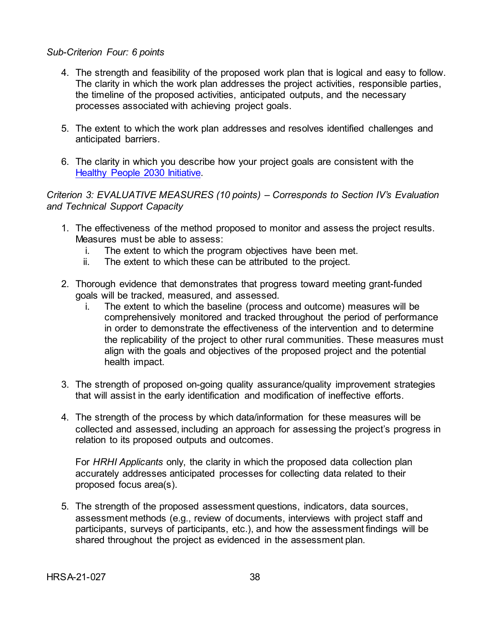#### *Sub-Criterion Four: 6 points*

- 4. The strength and feasibility of the proposed work plan that is logical and easy to follow. The clarity in which the work plan addresses the project activities, responsible parties, the timeline of the proposed activities, anticipated outputs, and the necessary processes associated with achieving project goals.
- 5. The extent to which the work plan addresses and resolves identified challenges and anticipated barriers.
- 6. The clarity in which you describe how your project goals are consistent with the [Healthy People 2030 Initiative.](https://health.gov/healthypeople)

*Criterion 3: EVALUATIVE MEASURES (10 points) – Corresponds to Section IV's Evaluation and Technical Support Capacity*

- 1. The effectiveness of the method proposed to monitor and assess the project results. Measures must be able to assess:
	- i. The extent to which the program objectives have been met.<br>ii The extent to which these can be attributed to the project
	- The extent to which these can be attributed to the project.
- 2. Thorough evidence that demonstrates that progress toward meeting grant-funded goals will be tracked, measured, and assessed.
	- i. The extent to which the baseline (process and outcome) measures will be comprehensively monitored and tracked throughout the period of performance in order to demonstrate the effectiveness of the intervention and to determine the replicability of the project to other rural communities. These measures must align with the goals and objectives of the proposed project and the potential health impact.
- 3. The strength of proposed on-going quality assurance/quality improvement strategies that will assist in the early identification and modification of ineffective efforts.
- 4. The strength of the process by which data/information for these measures will be collected and assessed, including an approach for assessing the project's progress in relation to its proposed outputs and outcomes.

For *HRHI Applicants* only, the clarity in which the proposed data collection plan accurately addresses anticipated processes for collecting data related to their proposed focus area(s).

5. The strength of the proposed assessment questions, indicators, data sources, assessment methods (e.g., review of documents, interviews with project staff and participants, surveys of participants, etc.), and how the assessment findings will be shared throughout the project as evidenced in the assessment plan.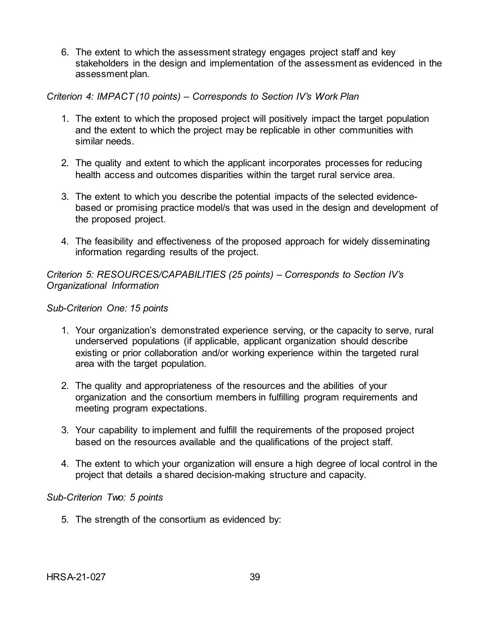6. The extent to which the assessment strategy engages project staff and key stakeholders in the design and implementation of the assessment as evidenced in the assessment plan.

## *Criterion 4: IMPACT (10 points) – Corresponds to Section IV's Work Plan*

- 1. The extent to which the proposed project will positively impact the target population and the extent to which the project may be replicable in other communities with similar needs.
- 2. The quality and extent to which the applicant incorporates processes for reducing health access and outcomes disparities within the target rural service area.
- 3. The extent to which you describe the potential impacts of the selected evidencebased or promising practice model/s that was used in the design and development of the proposed project.
- 4. The feasibility and effectiveness of the proposed approach for widely disseminating information regarding results of the project.

*Criterion 5: RESOURCES/CAPABILITIES (25 points) – Corresponds to Section IV's Organizational Information*

## *Sub-Criterion One: 15 points*

- 1. Your organization's demonstrated experience serving, or the capacity to serve, rural underserved populations (if applicable, applicant organization should describe existing or prior collaboration and/or working experience within the targeted rural area with the target population.
- 2. The quality and appropriateness of the resources and the abilities of your organization and the consortium members in fulfilling program requirements and meeting program expectations.
- 3. Your capability to implement and fulfill the requirements of the proposed project based on the resources available and the qualifications of the project staff.
- 4. The extent to which your organization will ensure a high degree of local control in the project that details a shared decision-making structure and capacity.

## *Sub-Criterion Two: 5 points*

5. The strength of the consortium as evidenced by: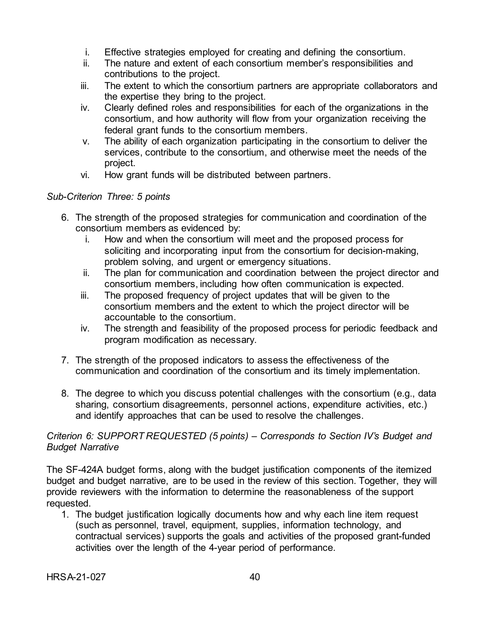- i. Effective strategies employed for creating and defining the consortium.
- ii. The nature and extent of each consortium member's responsibilities and contributions to the project.
- iii. The extent to which the consortium partners are appropriate collaborators and the expertise they bring to the project.
- iv. Clearly defined roles and responsibilities for each of the organizations in the consortium, and how authority will flow from your organization receiving the federal grant funds to the consortium members.
- v. The ability of each organization participating in the consortium to deliver the services, contribute to the consortium, and otherwise meet the needs of the project.
- vi. How grant funds will be distributed between partners.

# *Sub-Criterion Three: 5 points*

- 6. The strength of the proposed strategies for communication and coordination of the consortium members as evidenced by:
	- i. How and when the consortium will meet and the proposed process for soliciting and incorporating input from the consortium for decision-making, problem solving, and urgent or emergency situations.
	- ii. The plan for communication and coordination between the project director and consortium members, including how often communication is expected.
	- iii. The proposed frequency of project updates that will be given to the consortium members and the extent to which the project director will be accountable to the consortium.
	- iv. The strength and feasibility of the proposed process for periodic feedback and program modification as necessary.
- 7. The strength of the proposed indicators to assess the effectiveness of the communication and coordination of the consortium and its timely implementation.
- 8. The degree to which you discuss potential challenges with the consortium (e.g., data sharing, consortium disagreements, personnel actions, expenditure activities, etc.) and identify approaches that can be used to resolve the challenges.

## *Criterion 6: SUPPORT REQUESTED (5 points) – Corresponds to Section IV's Budget and Budget Narrative*

The SF-424A budget forms, along with the budget justification components of the itemized budget and budget narrative, are to be used in the review of this section. Together, they will provide reviewers with the information to determine the reasonableness of the support requested.

1. The budget justification logically documents how and why each line item request (such as personnel, travel, equipment, supplies, information technology, and contractual services) supports the goals and activities of the proposed grant-funded activities over the length of the 4-year period of performance.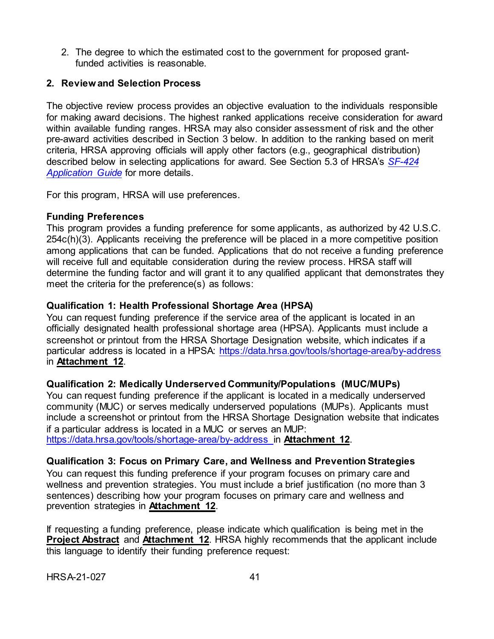2. The degree to which the estimated cost to the government for proposed grantfunded activities is reasonable.

# <span id="page-45-0"></span>**2. Review and Selection Process**

The objective review process provides an objective evaluation to the individuals responsible for making award decisions. The highest ranked applications receive consideration for award within available funding ranges. HRSA may also consider assessment of risk and the other pre-award activities described in Section 3 below. In addition to the ranking based on merit criteria, HRSA approving officials will apply other factors (e.g., geographical distribution) described below in selecting applications for award. See Section 5.3 of HRSA's *[SF-424](http://www.hrsa.gov/grants/apply/applicationguide/sf424guide.pdf) [Application Guide](http://www.hrsa.gov/grants/apply/applicationguide/sf424guide.pdf)* for more details.

For this program, HRSA will use preferences.

## <span id="page-45-1"></span>**Funding Preferences**

This program provides a funding preference for some applicants, as authorized by 42 U.S.C. 254c(h)(3). Applicants receiving the preference will be placed in a more competitive position among applications that can be funded. Applications that do not receive a funding preference will receive full and equitable consideration during the review process. HRSA staff will determine the funding factor and will grant it to any qualified applicant that demonstrates they meet the criteria for the preference(s) as follows:

# **Qualification 1: Health Professional Shortage Area (HPSA)**

You can request funding preference if the service area of the applicant is located in an officially designated health professional shortage area (HPSA). Applicants must include a screenshot or printout from the HRSA Shortage Designation website, which indicates if a particular address is located in a HPSA:<https://data.hrsa.gov/tools/shortage-area/by-address> in **Attachment 12**.

# **Qualification 2: Medically Underserved Community/Populations (MUC/MUPs)**

You can request funding preference if the applicant is located in a medically underserved community (MUC) or serves medically underserved populations (MUPs). Applicants must include a screenshot or printout from the HRSA Shortage Designation website that indicates if a particular address is located in a MUC or serves an MUP: <https://data.hrsa.gov/tools/shortage-area/by-address> in **Attachment 12**.

# **Qualification 3: Focus on Primary Care, and Wellness and Prevention Strategies**

You can request this funding preference if your program focuses on primary care and wellness and prevention strategies. You must include a brief justification (no more than 3 sentences) describing how your program focuses on primary care and wellness and prevention strategies in **Attachment 12**.

If requesting a funding preference, please indicate which qualification is being met in the **Project Abstract** and **Attachment 12**. HRSA highly recommends that the applicant include this language to identify their funding preference request: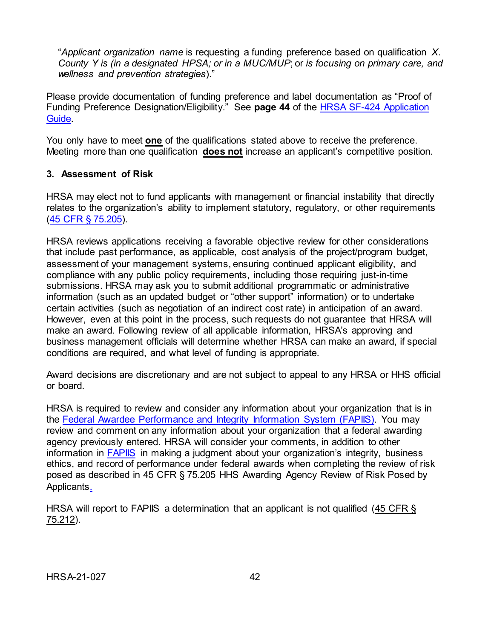"*Applicant organization name* is requesting a funding preference based on qualification *X*. *County Y is (in a designated HPSA; or in a MUC/MUP*; or *is focusing on primary care, and wellness and prevention strategies*)."

Please provide documentation of funding preference and label documentation as "Proof of Funding Preference Designation/Eligibility." See **page 44** of the [HRSA SF-424 Application](https://www.hrsa.gov/sites/default/files/hrsa/grants/apply/applicationguide/sf-424-app-guide.pdf)  [Guide.](https://www.hrsa.gov/sites/default/files/hrsa/grants/apply/applicationguide/sf-424-app-guide.pdf)

You only have to meet **one** of the qualifications stated above to receive the preference. Meeting more than one qualification **does not** increase an applicant's competitive position.

#### <span id="page-46-0"></span>**3. Assessment of Risk**

HRSA may elect not to fund applicants with management or financial instability that directly relates to the organization's ability to implement statutory, regulatory, or other requirements [\(45 CFR § 75.205\)](https://www.ecfr.gov/cgi-bin/retrieveECFR?gp=1&SID=4d52364ec83fab994c665943dadf9cf7&ty=HTML&h=L&r=PART&n=pt45.1.75).

HRSA reviews applications receiving a favorable objective review for other considerations that include past performance, as applicable, cost analysis of the project/program budget, assessment of your management systems, ensuring continued applicant eligibility, and compliance with any public policy requirements, including those requiring just-in-time submissions. HRSA may ask you to submit additional programmatic or administrative information (such as an updated budget or "other support" information) or to undertake certain activities (such as negotiation of an indirect cost rate) in anticipation of an award. However, even at this point in the process, such requests do not guarantee that HRSA will make an award. Following review of all applicable information, HRSA's approving and business management officials will determine whether HRSA can make an award, if special conditions are required, and what level of funding is appropriate.

Award decisions are discretionary and are not subject to appeal to any HRSA or HHS official or board.

HRSA is required to review and consider any information about your organization that is in the [Federal Awardee Performance and Integrity Information System \(FAPIIS\).](https://www.fapiis.gov/) You may review and comment on any information about your organization that a federal awarding agency previously entered. HRSA will consider your comments, in addition to other information in **FAPIIS** in making a judgment about your organization's integrity, business ethics, and record of performance under federal awards when completing the review of risk posed as described in [45 CFR § 75.205 HHS Awarding Agency Review of Risk Posed by](https://www.ecfr.gov/cgi-bin/retrieveECFR?gp=1&SID=4d52364ec83fab994c665943dadf9cf7&ty=HTML&h=L&r=PART&n=pt45.1.75)  [Applicants.](https://www.ecfr.gov/cgi-bin/retrieveECFR?gp=1&SID=4d52364ec83fab994c665943dadf9cf7&ty=HTML&h=L&r=PART&n=pt45.1.75)

<span id="page-46-1"></span>HRSA will report to FAPIIS a determination that an applicant is not qualified [\(45 CFR §](https://www.ecfr.gov/cgi-bin/retrieveECFR?gp=1&SID=4d52364ec83fab994c665943dadf9cf7&ty=HTML&h=L&r=PART&n=pt45.1.75)  [75.212\).](https://www.ecfr.gov/cgi-bin/retrieveECFR?gp=1&SID=4d52364ec83fab994c665943dadf9cf7&ty=HTML&h=L&r=PART&n=pt45.1.75)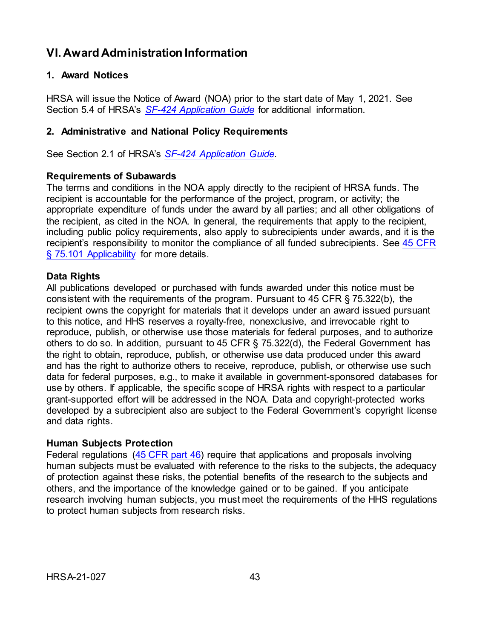# **VI. Award Administration Information**

## <span id="page-47-0"></span>**1. Award Notices**

HRSA will issue the Notice of Award (NOA) prior to the start date of May 1, 2021. See Section 5.4 of HRSA's *SF-424 [Application](http://www.hrsa.gov/grants/apply/applicationguide/sf424guide.pdf) Guide* for additional information.

#### <span id="page-47-1"></span>**2. Administrative and National Policy Requirements**

See Section 2.1 of HRSA's *SF-424 [Application Guide](http://www.hrsa.gov/grants/apply/applicationguide/sf424guide.pdf)*.

#### **Requirements of Subawards**

The terms and conditions in the NOA apply directly to the recipient of HRSA funds. The recipient is accountable for the performance of the project, program, or activity; the appropriate expenditure of funds under the award by all parties; and all other obligations of the recipient, as cited in the NOA. In general, the requirements that apply to the recipient, including public policy requirements, also apply to subrecipients under awards, and it is the recipient's responsibility to monitor the compliance of all funded subrecipients. See [45 CFR](https://www.ecfr.gov/cgi-bin/retrieveECFR?gp=1&SID=4d52364ec83fab994c665943dadf9cf7&ty=HTML&h=L&r=PART&n=pt45.1.75)  [§ 75.101 Applicability](https://www.ecfr.gov/cgi-bin/retrieveECFR?gp=1&SID=4d52364ec83fab994c665943dadf9cf7&ty=HTML&h=L&r=PART&n=pt45.1.75) for more details.

## **Data Rights**

All publications developed or purchased with funds awarded under this notice must be consistent with the requirements of the program. Pursuant to 45 CFR § 75.322(b), the recipient owns the copyright for materials that it develops under an award issued pursuant to this notice, and HHS reserves a royalty-free, nonexclusive, and irrevocable right to reproduce, publish, or otherwise use those materials for federal purposes, and to authorize others to do so. In addition, pursuant to 45 CFR § 75.322(d), the Federal Government has the right to obtain, reproduce, publish, or otherwise use data produced under this award and has the right to authorize others to receive, reproduce, publish, or otherwise use such data for federal purposes, e.g., to make it available in government-sponsored databases for use by others. If applicable, the specific scope of HRSA rights with respect to a particular grant-supported effort will be addressed in the NOA. Data and copyright-protected works developed by a subrecipient also are subject to the Federal Government's copyright license and data rights.

## **Human Subjects Protection**

Federal regulations [\(45 CFR part 46\)](https://www.ecfr.gov/cgi-bin/text-idx?SID=5ec405e535881de66e6f153cdf4cdcf8&mc=true&node=pt45.1.46&rgn=div5) require that applications and proposals involving human subjects must be evaluated with reference to the risks to the subjects, the adequacy of protection against these risks, the potential benefits of the research to the subjects and others, and the importance of the knowledge gained or to be gained. If you anticipate research involving human subjects, you must meet the requirements of the HHS regulations to protect human subjects from research risks.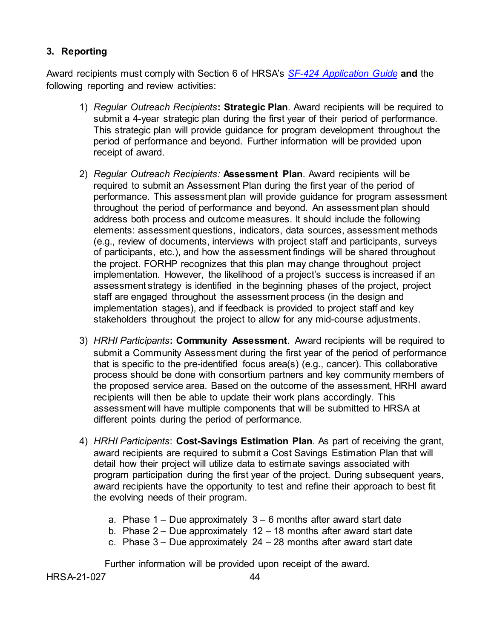# <span id="page-48-0"></span>**3. Reporting**

Award recipients must comply with Section 6 of HRSA's *SF-424 [Application Guide](http://www.hrsa.gov/grants/apply/applicationguide/sf424guide.pdf)* **and** the following reporting and review activities:

- 1) *Regular Outreach Recipients***: Strategic Plan**. Award recipients will be required to submit a 4-year strategic plan during the first year of their period of performance. This strategic plan will provide guidance for program development throughout the period of performance and beyond. Further information will be provided upon receipt of award.
- 2) *Regular Outreach Recipients:* **Assessment Plan**. Award recipients will be required to submit an Assessment Plan during the first year of the period of performance. This assessment plan will provide guidance for program assessment throughout the period of performance and beyond. An assessment plan should address both process and outcome measures. It should include the following elements: assessment questions, indicators, data sources, assessment methods (e.g., review of documents, interviews with project staff and participants, surveys of participants, etc.), and how the assessment findings will be shared throughout the project. FORHP recognizes that this plan may change throughout project implementation. However, the likelihood of a project's success is increased if an assessment strategy is identified in the beginning phases of the project, project staff are engaged throughout the assessment process (in the design and implementation stages), and if feedback is provided to project staff and key stakeholders throughout the project to allow for any mid-course adjustments.
- 3) *HRHI Participants***: Community Assessment**. Award recipients will be required to submit a Community Assessment during the first year of the period of performance that is specific to the pre-identified focus area(s) (e.g., cancer). This collaborative process should be done with consortium partners and key community members of the proposed service area. Based on the outcome of the assessment, HRHI award recipients will then be able to update their work plans accordingly. This assessment will have multiple components that will be submitted to HRSA at different points during the period of performance.
- 4) *HRHI Participants*: **Cost-Savings Estimation Plan**. As part of receiving the grant, award recipients are required to submit a Cost Savings Estimation Plan that will detail how their project will utilize data to estimate savings associated with program participation during the first year of the project. During subsequent years, award recipients have the opportunity to test and refine their approach to best fit the evolving needs of their program.
	- a. Phase  $1 -$  Due approximately  $3 6$  months after award start date
	- b. Phase  $2 -$  Due approximately  $12 18$  months after award start date
	- c. Phase  $3 -$  Due approximately  $24 28$  months after award start date

Further information will be provided upon receipt of the award.

HRSA-21-027 44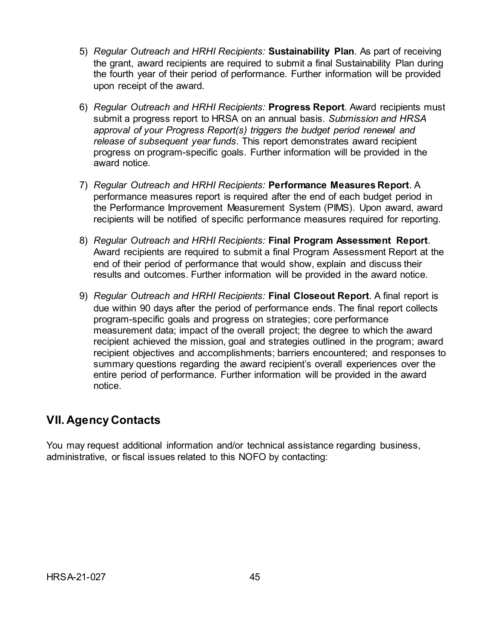- 5) *Regular Outreach and HRHI Recipients:* **Sustainability Plan**. As part of receiving the grant, award recipients are required to submit a final Sustainability Plan during the fourth year of their period of performance. Further information will be provided upon receipt of the award.
- 6) *Regular Outreach and HRHI Recipients:* **Progress Report**. Award recipients must submit a progress report to HRSA on an annual basis. *Submission and HRSA approval of your Progress Report(s) triggers the budget period renewal and release of subsequent year funds*. This report demonstrates award recipient progress on program-specific goals. Further information will be provided in the award notice.
- 7) *Regular Outreach and HRHI Recipients:* **Performance Measures Report**. A performance measures report is required after the end of each budget period in the Performance Improvement Measurement System (PIMS). Upon award, award recipients will be notified of specific performance measures required for reporting.
- 8) *Regular Outreach and HRHI Recipients:* **Final Program Assessment Report**. Award recipients are required to submit a final Program Assessment Report at the end of their period of performance that would show, explain and discuss their results and outcomes. Further information will be provided in the award notice.
- 9) *Regular Outreach and HRHI Recipients:* **Final Closeout Report**. A final report is due within 90 days after the period of performance ends. The final report collects program-specific goals and progress on strategies; core performance measurement data; impact of the overall project; the degree to which the award recipient achieved the mission, goal and strategies outlined in the program; award recipient objectives and accomplishments; barriers encountered; and responses to summary questions regarding the award recipient's overall experiences over the entire period of performance. Further information will be provided in the award notice.

# <span id="page-49-0"></span>**VII. Agency Contacts**

You may request additional information and/or technical assistance regarding business, administrative, or fiscal issues related to this NOFO by contacting: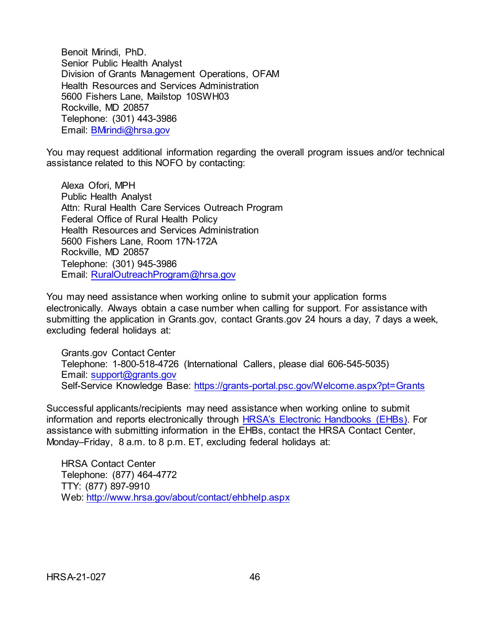Benoit Mirindi, PhD. Senior Public Health Analyst Division of Grants Management Operations, OFAM Health Resources and Services Administration 5600 Fishers Lane, Mailstop 10SWH03 Rockville, MD 20857 Telephone: (301) 443-3986 Email: [BMirindi@hrsa.gov](mailto:BMirindi@hrsa.gov)

You may request additional information regarding the overall program issues and/or technical assistance related to this NOFO by contacting:

Alexa Ofori, MPH Public Health Analyst Attn: Rural Health Care Services Outreach Program Federal Office of Rural Health Policy Health Resources and Services Administration 5600 Fishers Lane, Room 17N-172A Rockville, MD 20857 Telephone: (301) 945-3986 Email: [RuralOutreachProgram@hrsa.gov](mailto:RuralOutreachProgram@hrsa.gov)

You may need assistance when working online to submit your application forms electronically. Always obtain a case number when calling for support. For assistance with submitting the application in Grants.gov, contact Grants.gov 24 hours a day, 7 days a week, excluding federal holidays at:

Grants.gov Contact Center Telephone: 1-800-518-4726 (International Callers, please dial 606-545-5035) Email: [support@grants.gov](mailto:support@grants.gov) Self-Service Knowledge Base: <https://grants-portal.psc.gov/Welcome.aspx?pt=Grants>

Successful applicants/recipients may need assistance when working online to submit information and reports electronically through [HRSA's Electronic Handbooks \(EHBs\).](https://grants.hrsa.gov/2010/WebEPSExternal/Interface/Common/AccessControl/Login.aspx) For assistance with submitting information in the EHBs, contact the HRSA Contact Center, Monday–Friday, 8 a.m. to 8 p.m. ET, excluding federal holidays at:

HRSA Contact Center Telephone: (877) 464-4772 TTY: (877) 897-9910 Web: <http://www.hrsa.gov/about/contact/ehbhelp.aspx>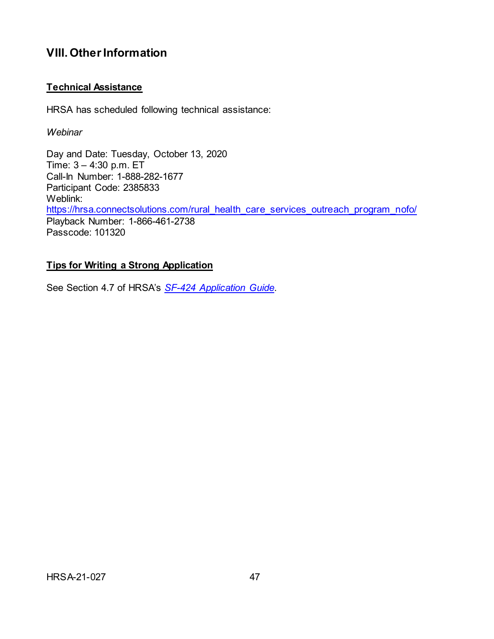# <span id="page-51-0"></span>**VIII. Other Information**

# **Technical Assistance**

HRSA has scheduled following technical assistance:

*Webinar*

Day and Date: Tuesday, October 13, 2020 Time: 3 – 4:30 p.m. ET Call-In Number: 1-888-282-1677 Participant Code: 2385833 Weblink: [https://hrsa.connectsolutions.com/rural\\_health\\_care\\_services\\_outreach\\_program\\_nofo/](https://hrsa.connectsolutions.com/rural_health_care_services_outreach_program_nofo/) Playback Number: 1-866-461-2738 Passcode: 101320

## **Tips for Writing a Strong Application**

See Section 4.7 of HRSA's *SF-424 [Application Guide](http://www.hrsa.gov/grants/apply/applicationguide/sf424guide.pdf)*.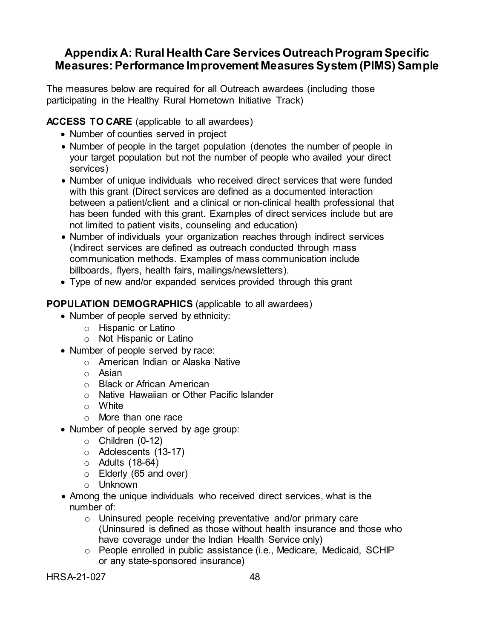# <span id="page-52-0"></span>**Appendix A: Rural Health Care Services Outreach Program Specific Measures: Performance Improvement Measures System (PIMS) Sample**

The measures below are required for all Outreach awardees (including those participating in the Healthy Rural Hometown Initiative Track)

# **ACCESS TO CARE** (applicable to all awardees)

- Number of counties served in project
- Number of people in the target population (denotes the number of people in your target population but not the number of people who availed your direct services)
- Number of unique individuals who received direct services that were funded with this grant (Direct services are defined as a documented interaction between a patient/client and a clinical or non-clinical health professional that has been funded with this grant. Examples of direct services include but are not limited to patient visits, counseling and education)
- Number of individuals your organization reaches through indirect services (Indirect services are defined as outreach conducted through mass communication methods. Examples of mass communication include billboards, flyers, health fairs, mailings/newsletters).
- Type of new and/or expanded services provided through this grant

# **POPULATION DEMOGRAPHICS** (applicable to all awardees)

- Number of people served by ethnicity:
	- o Hispanic or Latino
	- o Not Hispanic or Latino
- Number of people served by race:
	- o American Indian or Alaska Native
	- o Asian
	- o Black or African American
	- o Native Hawaiian or Other Pacific Islander
	- o White
	- o More than one race
- Number of people served by age group:
	- $\circ$  Children (0-12)
	- o Adolescents (13-17)
	- $\circ$  Adults (18-64)
	- o Elderly (65 and over)
	- o Unknown
- Among the unique individuals who received direct services, what is the number of:
	- o Uninsured people receiving preventative and/or primary care (Uninsured is defined as those without health insurance and those who have coverage under the Indian Health Service only)
	- o People enrolled in public assistance (i.e., Medicare, Medicaid, SCHIP or any state-sponsored insurance)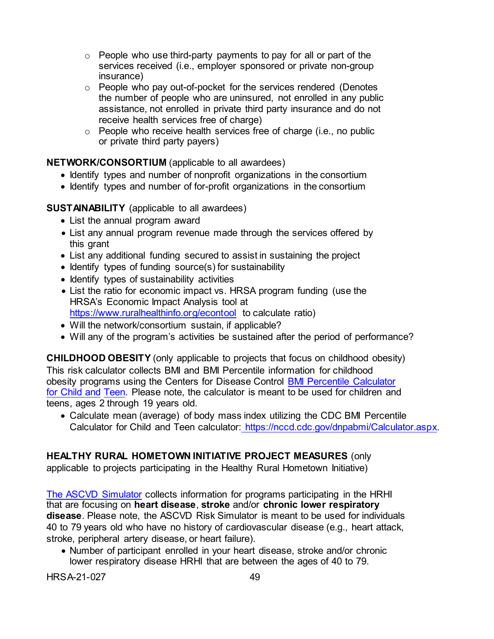- $\circ$  People who use third-party payments to pay for all or part of the services received (i.e., employer sponsored or private non-group insurance)
- o People who pay out-of-pocket for the services rendered (Denotes the number of people who are uninsured, not enrolled in any public assistance, not enrolled in private third party insurance and do not receive health services free of charge)
- o People who receive health services free of charge (i.e., no public or private third party payers)

**NETWORK/CONSORTIUM** (applicable to all awardees)

- Identify types and number of nonprofit organizations in the consortium
- Identify types and number of for-profit organizations in the consortium

**SUSTAINABILITY** (applicable to all awardees)

- List the annual program award
- List any annual program revenue made through the services offered by this grant
- List any additional funding secured to assist in sustaining the project
- Identify types of funding source(s) for sustainability
- Identify types of sustainability activities
- List the ratio for economic impact vs. HRSA program funding (use the HRSA's Economic Impact Analysis tool at <https://www.ruralhealthinfo.org/econtool> to calculate ratio)
- Will the network/consortium sustain, if applicable?
- Will any of the program's activities be sustained after the period of performance?

**CHILDHOOD OBESITY** (only applicable to projects that focus on childhood obesity) This risk calculator collects BMI and BMI Percentile information for childhood obesity programs using the Centers for Disease Control [BMI Percentile Calculator](https://nccd.cdc.gov/dnpabmi/Calculator.aspx)  [for Child and](https://nccd.cdc.gov/dnpabmi/Calculator.aspx) [Teen.](https://nccd.cdc.gov/dnpabmi/Calculator.aspx) Please note, the calculator is meant to be used for children and teens, ages 2 through 19 years old.

• Calculate mean (average) of body mass index utilizing the CDC BMI Percentile Calculator for Child and Teen calculator: [https://nccd.cdc.gov/dnpabmi/Calculator.aspx.](https://nccd.cdc.gov/dnpabmi/Calculator.aspx)

# **HEALTHY RURAL HOMETOWN INITIATIVE PROJECT MEASURES** (only

applicable to projects participating in the Healthy Rural Hometown Initiative)

[The ASCVD Simulator](http://mhmodel-riskcalculator.cms.gov/) collects information for programs participating in the HRHI that are focusing on **heart disease**, **stroke** and/or **chronic lower respiratory disease**. Please note, the ASCVD Risk Simulator is meant to be used for individuals 40 to 79 years old who have no history of cardiovascular disease (e.g., heart attack, stroke, peripheral artery disease, or heart failure).

• Number of participant enrolled in your heart disease, stroke and/or chronic lower respiratory disease HRHI that are between the ages of 40 to 79.

HRSA-21-027 49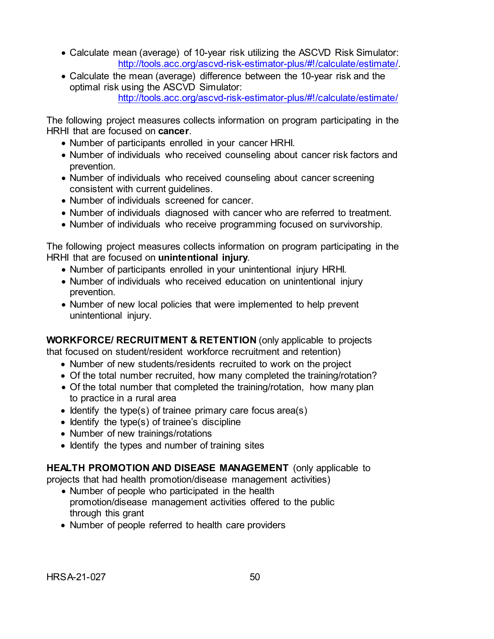- Calculate mean (average) of 10-year risk utilizing the ASCVD Risk Simulator: [http://tools.acc.org/ascvd-risk-estimator-plus/#!/calculate/estimate/.](http://tools.acc.org/ascvd-risk-estimator-plus/#!/calculate/estimate/)
- Calculate the mean (average) difference between the 10-year risk and the optimal risk using the ASCVD Simulator: <http://tools.acc.org/ascvd-risk-estimator-plus/#!/calculate/estimate/>

The following project measures collects information on program participating in the HRHI that are focused on **cancer**.

- Number of participants enrolled in your cancer HRHI.
- Number of individuals who received counseling about cancer risk factors and prevention.
- Number of individuals who received counseling about cancer screening consistent with current guidelines.
- Number of individuals screened for cancer.
- Number of individuals diagnosed with cancer who are referred to treatment.
- Number of individuals who receive programming focused on survivorship.

The following project measures collects information on program participating in the HRHI that are focused on **unintentional injury**.

- Number of participants enrolled in your unintentional injury HRHI.
- Number of individuals who received education on unintentional injury prevention.
- Number of new local policies that were implemented to help prevent unintentional injury.

**WORKFORCE/ RECRUITMENT & RETENTION** (only applicable to projects

that focused on student/resident workforce recruitment and retention)

- Number of new students/residents recruited to work on the project
- Of the total number recruited, how many completed the training/rotation?
- Of the total number that completed the training/rotation, how many plan to practice in a rural area
- Identify the type(s) of trainee primary care focus area(s)
- Identify the type(s) of trainee's discipline
- Number of new trainings/rotations
- Identify the types and number of training sites

**HEALTH PROMOTION AND DISEASE MANAGEMENT** (only applicable to

projects that had health promotion/disease management activities)

- Number of people who participated in the health promotion/disease management activities offered to the public through this grant
- Number of people referred to health care providers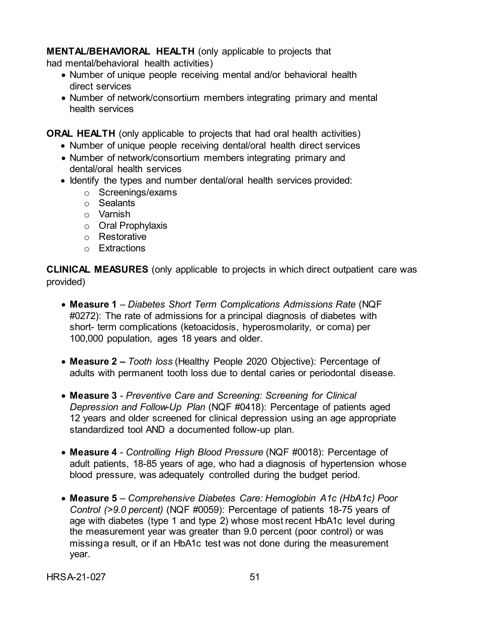**MENTAL/BEHAVIORAL HEALTH** (only applicable to projects that

had mental/behavioral health activities)

- Number of unique people receiving mental and/or behavioral health direct services
- Number of network/consortium members integrating primary and mental health services

**ORAL HEALTH** (only applicable to projects that had oral health activities)

- Number of unique people receiving dental/oral health direct services
- Number of network/consortium members integrating primary and dental/oral health services
- Identify the types and number dental/oral health services provided:
	- o Screenings/exams
	- o Sealants
	- o Varnish
	- o Oral Prophylaxis
	- o Restorative
	- o Extractions

**CLINICAL MEASURES** (only applicable to projects in which direct outpatient care was provided)

- **Measure 1** *– Diabetes Short Term Complications Admissions Rate* (NQF #0272): The rate of admissions for a principal diagnosis of diabetes with short- term complications (ketoacidosis, hyperosmolarity, or coma) per 100,000 population, ages 18 years and older.
- **Measure 2 –** *Tooth loss* (Healthy People 2020 Objective): Percentage of adults with permanent tooth loss due to dental caries or periodontal disease.
- **Measure 3**  *Preventive Care and Screening: Screening for Clinical Depression and Follow-Up Plan* (NQF #0418): Percentage of patients aged 12 years and older screened for clinical depression using an age appropriate standardized tool AND a documented follow-up plan.
- **Measure 4**  *Controlling High Blood Pressure* (NQF #0018): Percentage of adult patients, 18-85 years of age, who had a diagnosis of hypertension whose blood pressure, was adequately controlled during the budget period.
- **Measure 5**  *Comprehensive Diabetes Care: Hemoglobin A1c (HbA1c) Poor Control (>9.0 percent)* (NQF #0059): Percentage of patients 18-75 years of age with diabetes (type 1 and type 2) whose most recent HbA1c level during the measurement year was greater than 9.0 percent (poor control) or was missinga result, or if an HbA1c test was not done during the measurement year.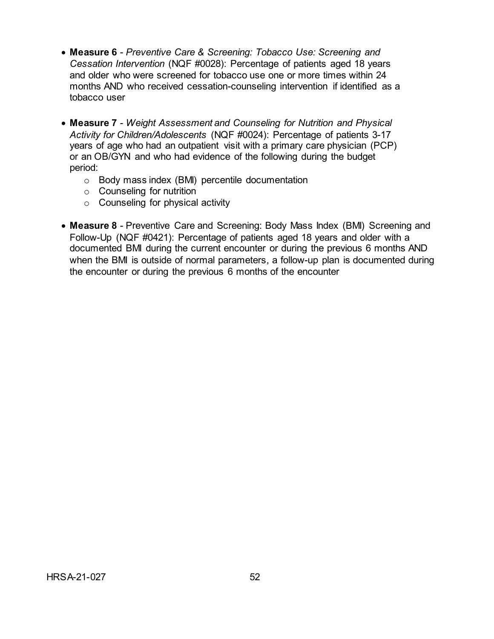- **Measure 6**  *Preventive Care & Screening: Tobacco Use: Screening and Cessation Intervention* (NQF #0028): Percentage of patients aged 18 years and older who were screened for tobacco use one or more times within 24 months AND who received cessation-counseling intervention if identified as a tobacco user
- **Measure 7**  *Weight Assessment and Counseling for Nutrition and Physical Activity for Children/Adolescents* (NQF #0024): Percentage of patients 3-17 years of age who had an outpatient visit with a primary care physician (PCP) or an OB/GYN and who had evidence of the following during the budget period:
	- o Body mass index (BMI) percentile documentation
	- o Counseling for nutrition
	- o Counseling for physical activity
- **Measure 8** Preventive Care and Screening: Body Mass Index (BMI) Screening and Follow-Up (NQF #0421): Percentage of patients aged 18 years and older with a documented BMI during the current encounter or during the previous 6 months AND when the BMI is outside of normal parameters, a follow-up plan is documented during the encounter or during the previous 6 months of the encounter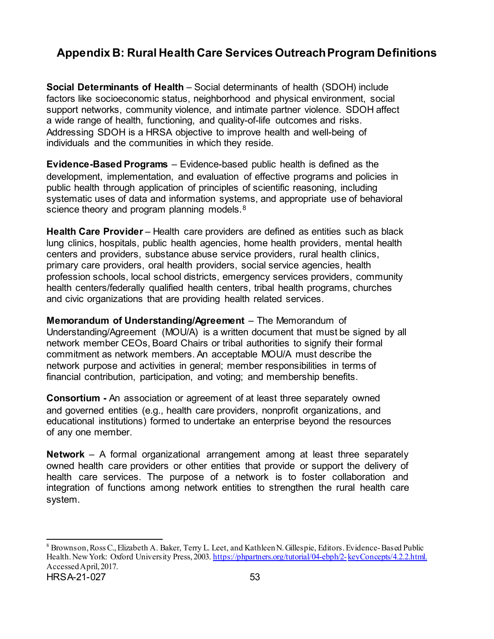# <span id="page-57-0"></span>**Appendix B: Rural Health Care Services Outreach Program Definitions**

**Social Determinants of Health** – Social determinants of health (SDOH) include factors like socioeconomic status, neighborhood and physical environment, social support networks, community violence, and intimate partner violence. SDOH affect a wide range of health, functioning, and quality-of-life outcomes and risks. Addressing SDOH is a HRSA objective to improve health and well-being of individuals and the communities in which they reside.

**Evidence-Based Programs** – Evidence-based public health is defined as the development, implementation, and evaluation of effective programs and policies in public health through application of principles of scientific reasoning, including systematic uses of data and information systems, and appropriate use of behavioral science theory and program planning models.<sup>[8](#page-57-1)</sup>

**Health Care Provider** – Health care providers are defined as entities such as black lung clinics, hospitals, public health agencies, home health providers, mental health centers and providers, substance abuse service providers, rural health clinics, primary care providers, oral health providers, social service agencies, health profession schools, local school districts, emergency services providers, community health centers/federally qualified health centers, tribal health programs, churches and civic organizations that are providing health related services.

**Memorandum of Understanding/Agreement** – The Memorandum of Understanding/Agreement (MOU/A) is a written document that must be signed by all network member CEOs, Board Chairs or tribal authorities to signify their formal commitment as network members. An acceptable MOU/A must describe the network purpose and activities in general; member responsibilities in terms of financial contribution, participation, and voting; and membership benefits.

**Consortium -** An association or agreement of at least three separately owned and governed entities (e.g., health care providers, nonprofit organizations, and educational institutions) formed to undertake an enterprise beyond the resources of any one member.

**Network** – A formal organizational arrangement among at least three separately owned health care providers or other entities that provide or support the delivery of health care services. The purpose of a network is to foster collaboration and integration of functions among network entities to strengthen the rural health care system.

<span id="page-57-1"></span>HRSA-21-027 53 8 Brownson, Ross C., Elizabeth A. Baker, Terry L. Leet, and Kathleen N. Gillespie, Editors. Evidence-Based Public Health. New York: Oxford University Press, 2003[. https://phpartners.org/tutorial/04-ebph/2-](https://phpartners.org/tutorial/04-ebph/2-keyConcepts/4.2.2.html) keyConcepts/4.2.2.html. Accessed April, 2017.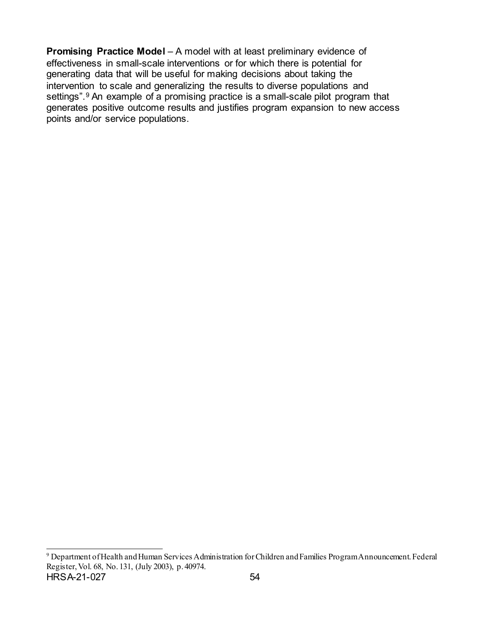**Promising Practice Model** – A model with at least preliminary evidence of effectiveness in small-scale interventions or for which there is potential for generating data that will be useful for making decisions about taking the intervention to scale and generalizing the results to diverse populations and settings".<sup>[9](#page-58-0)</sup> An example of a promising practice is a small-scale pilot program that generates positive outcome results and justifies program expansion to new access points and/or service populations.

<span id="page-58-0"></span>HRSA-21-027 54 9 Department of Health and Human Services Administration for Children and Families Program Announcement. Federal Register, Vol. 68, No. 131, (July 2003), p. 40974.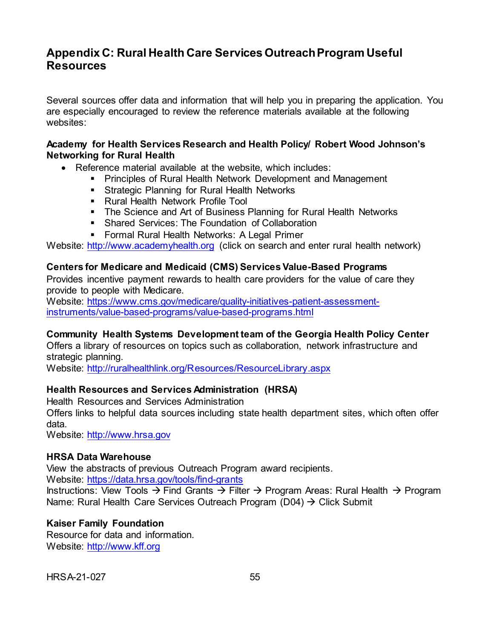# <span id="page-59-0"></span>**Appendix C: Rural Health Care Services Outreach Program Useful Resources**

Several sources offer data and information that will help you in preparing the application. You are especially encouraged to review the reference materials available at the following websites:

## **Academy for Health Services Research and Health Policy/ Robert Wood Johnson's Networking for Rural Health**

- Reference material available at the website, which includes:
	- **Principles of Rural Health Network Development and Management**
	- **Strategic Planning for Rural Health Networks**
	- **Rural Health Network Profile Tool**
	- The Science and Art of Business Planning for Rural Health Networks
	- **Shared Services: The Foundation of Collaboration**
	- Formal Rural Health Networks: A Legal Primer

Website: [http://www.academyhealth.org](http://www.academyhealth.org/) (click on search and enter rural health network)

#### **Centers for Medicare and Medicaid (CMS) Services Value-Based Programs**

Provides incentive payment rewards to health care providers for the value of care they provide to people with Medicare.

Website: [https://www.cms.gov/medicare/quality-initiatives-patient-assessment](https://www.cms.gov/medicare/quality-initiatives-patient-assessment-instruments/value-based-programs/value-based-programs.html)[instruments/value-based-programs/value-based-programs.html](https://www.cms.gov/medicare/quality-initiatives-patient-assessment-instruments/value-based-programs/value-based-programs.html)

## **Community Health Systems Development team of the Georgia Health Policy Center**

Offers a library of resources on topics such as collaboration, network infrastructure and strategic planning.

Website:<http://ruralhealthlink.org/Resources/ResourceLibrary.aspx>

## **Health Resources and Services Administration (HRSA)**

Health Resources and Services Administration

Offers links to helpful data sources including state health department sites, which often offer data.

Website: [http://www.hrsa.gov](http://www.hrsa.gov/)

#### **HRSA Data Warehouse**

View the abstracts of previous Outreach Program award recipients.

Website:<https://data.hrsa.gov/tools/find-grants>

Instructions: View Tools  $\rightarrow$  Find Grants  $\rightarrow$  Filter  $\rightarrow$  Program Areas: Rural Health  $\rightarrow$  Program Name: Rural Health Care Services Outreach Program (D04)  $\rightarrow$  Click Submit

## **Kaiser Family Foundation**

Resource for data and information. Website: [http://www.kff.org](http://www.kff.org/)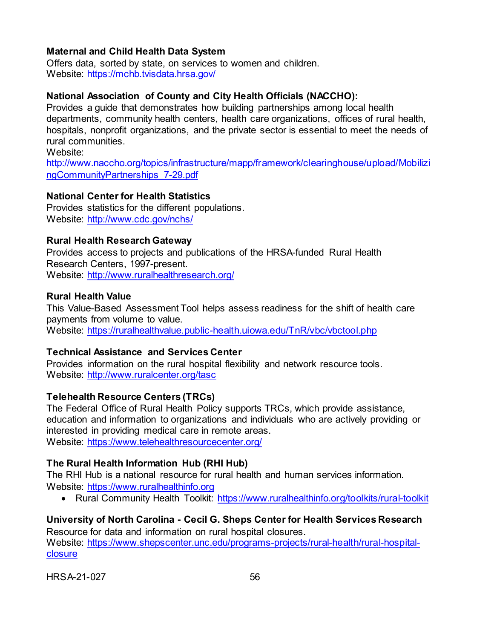# **Maternal and Child Health Data System**

Offers data, sorted by state, on services to women and children. Website:<https://mchb.tvisdata.hrsa.gov/>

# **National Association of County and City Health Officials (NACCHO):**

Provides a guide that demonstrates how building partnerships among local health departments, community health centers, health care organizations, offices of rural health, hospitals, nonprofit organizations, and the private sector is essential to meet the needs of rural communities. Website:

[http://www.naccho.org/topics/infrastructure/mapp/framework/clearinghouse/upload/Mobilizi](http://www.naccho.org/topics/infrastructure/mapp/framework/clearinghouse/upload/Mobilizi%20ngCommunityPartnerships_7-29.pdf)  [ngCommunityPartnerships\\_7-29.pdf](http://www.naccho.org/topics/infrastructure/mapp/framework/clearinghouse/upload/Mobilizi%20ngCommunityPartnerships_7-29.pdf)

# **National Center for Health Statistics**

Provides statistics for the different populations. Website:<http://www.cdc.gov/nchs/>

## **Rural Health Research Gateway**

Provides access to projects and publications of the HRSA-funded Rural Health Research Centers, 1997-present. Website:<http://www.ruralhealthresearch.org/>

## **Rural Health Value**

This Value-Based Assessment Tool helps assess readiness for the shift of health care payments from volume to value. Website:<https://ruralhealthvalue.public-health.uiowa.edu/TnR/vbc/vbctool.php>

# **Technical Assistance and Services Center**

Provides information on the rural hospital flexibility and network resource tools. Website:<http://www.ruralcenter.org/tasc>

# **Telehealth Resource Centers (TRCs)**

The Federal Office of Rural Health Policy supports TRCs, which provide assistance, education and information to organizations and individuals who are actively providing or interested in providing medical care in remote areas. Website:<https://www.telehealthresourcecenter.org/>

# **The Rural Health Information Hub (RHI Hub)**

The RHI Hub is a national resource for rural health and human services information. Website: [https://www.ruralhealthinfo.org](https://www.ruralhealthinfo.org/)

• Rural Community Health Toolkit:<https://www.ruralhealthinfo.org/toolkits/rural-toolkit>

# **University of North Carolina - Cecil G. Sheps Center for Health Services Research**

Resource for data and information on rural hospital closures. Website: [https://www.shepscenter.unc.edu/programs-projects/rural-health/rural-hospital](https://www.shepscenter.unc.edu/programs-projects/rural-health/rural-hospital-%20closure)**[closure](https://www.shepscenter.unc.edu/programs-projects/rural-health/rural-hospital-%20closure)**